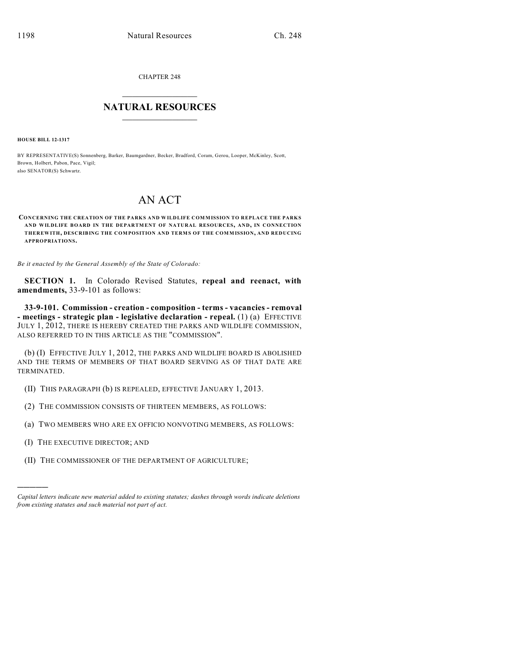CHAPTER 248

# $\overline{\phantom{a}}$  . The set of the set of the set of the set of the set of the set of the set of the set of the set of the set of the set of the set of the set of the set of the set of the set of the set of the set of the set o **NATURAL RESOURCES**  $\frac{1}{\sqrt{2}}$  , where  $\frac{1}{\sqrt{2}}$  ,  $\frac{1}{\sqrt{2}}$  ,  $\frac{1}{\sqrt{2}}$

**HOUSE BILL 12-1317**

BY REPRESENTATIVE(S) Sonnenberg, Barker, Baumgardner, Becker, Bradford, Coram, Gerou, Looper, McKinley, Scott, Brown, Holbert, Pabon, Pace, Vigil; also SENATOR(S) Schwartz.

# AN ACT

## **CONCERNING THE CREATION OF THE PARKS AND WILDLIFE COMMISSION TO REPLACE THE PARKS AND WILDLIFE BOARD IN THE DEPARTMENT OF NATURAL RESOURCES, AND, IN CONNECTION THEREWITH, DESCRIBING THE COMPOSITION AND TERMS OF THE COMMISSION, AND REDUCING APPROPRIATIONS.**

*Be it enacted by the General Assembly of the State of Colorado:*

**SECTION 1.** In Colorado Revised Statutes, **repeal and reenact, with amendments,** 33-9-101 as follows:

**33-9-101. Commission - creation - composition - terms - vacancies - removal - meetings - strategic plan - legislative declaration - repeal.** (1) (a) EFFECTIVE JULY 1, 2012, THERE IS HEREBY CREATED THE PARKS AND WILDLIFE COMMISSION, ALSO REFERRED TO IN THIS ARTICLE AS THE "COMMISSION".

(b) (I) EFFECTIVE JULY 1, 2012, THE PARKS AND WILDLIFE BOARD IS ABOLISHED AND THE TERMS OF MEMBERS OF THAT BOARD SERVING AS OF THAT DATE ARE TERMINATED.

- (II) THIS PARAGRAPH (b) IS REPEALED, EFFECTIVE JANUARY 1, 2013.
- (2) THE COMMISSION CONSISTS OF THIRTEEN MEMBERS, AS FOLLOWS:
- (a) TWO MEMBERS WHO ARE EX OFFICIO NONVOTING MEMBERS, AS FOLLOWS:
- (I) THE EXECUTIVE DIRECTOR; AND

)))))

(II) THE COMMISSIONER OF THE DEPARTMENT OF AGRICULTURE;

*Capital letters indicate new material added to existing statutes; dashes through words indicate deletions from existing statutes and such material not part of act.*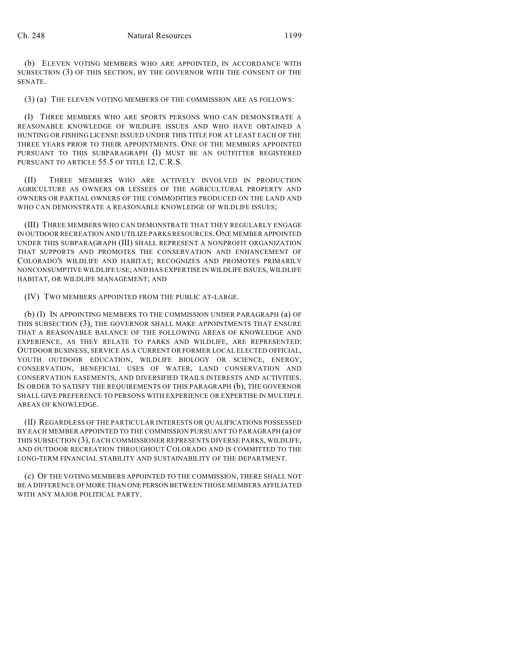(b) ELEVEN VOTING MEMBERS WHO ARE APPOINTED, IN ACCORDANCE WITH SUBSECTION (3) OF THIS SECTION, BY THE GOVERNOR WITH THE CONSENT OF THE SENATE.

(3) (a) THE ELEVEN VOTING MEMBERS OF THE COMMISSION ARE AS FOLLOWS:

(I) THREE MEMBERS WHO ARE SPORTS PERSONS WHO CAN DEMONSTRATE A REASONABLE KNOWLEDGE OF WILDLIFE ISSUES AND WHO HAVE OBTAINED A HUNTING OR FISHING LICENSE ISSUED UNDER THIS TITLE FOR AT LEAST EACH OF THE THREE YEARS PRIOR TO THEIR APPOINTMENTS. ONE OF THE MEMBERS APPOINTED PURSUANT TO THIS SUBPARAGRAPH (I) MUST BE AN OUTFITTER REGISTERED PURSUANT TO ARTICLE 55.5 OF TITLE 12, C.R.S.

(II) THREE MEMBERS WHO ARE ACTIVELY INVOLVED IN PRODUCTION AGRICULTURE AS OWNERS OR LESSEES OF THE AGRICULTURAL PROPERTY AND OWNERS OR PARTIAL OWNERS OF THE COMMODITIES PRODUCED ON THE LAND AND WHO CAN DEMONSTRATE A REASONABLE KNOWLEDGE OF WILDLIFE ISSUES;

(III) THREE MEMBERS WHO CAN DEMONSTRATE THAT THEY REGULARLY ENGAGE IN OUTDOOR RECREATION AND UTILIZE PARKS RESOURCES. ONE MEMBER APPOINTED UNDER THIS SUBPARAGRAPH (III) SHALL REPRESENT A NONPROFIT ORGANIZATION THAT SUPPORTS AND PROMOTES THE CONSERVATION AND ENHANCEMENT OF COLORADO'S WILDLIFE AND HABITAT; RECOGNIZES AND PROMOTES PRIMARILY NONCONSUMPTIVE WILDLIFE USE; AND HAS EXPERTISE IN WILDLIFE ISSUES, WILDLIFE HABITAT, OR WILDLIFE MANAGEMENT; AND

(IV) TWO MEMBERS APPOINTED FROM THE PUBLIC AT-LARGE.

(b) (I) IN APPOINTING MEMBERS TO THE COMMISSION UNDER PARAGRAPH (a) OF THIS SUBSECTION (3), THE GOVERNOR SHALL MAKE APPOINTMENTS THAT ENSURE THAT A REASONABLE BALANCE OF THE FOLLOWING AREAS OF KNOWLEDGE AND EXPERIENCE, AS THEY RELATE TO PARKS AND WILDLIFE, ARE REPRESENTED: OUTDOOR BUSINESS, SERVICE AS A CURRENT OR FORMER LOCAL ELECTED OFFICIAL, YOUTH OUTDOOR EDUCATION, WILDLIFE BIOLOGY OR SCIENCE, ENERGY, CONSERVATION, BENEFICIAL USES OF WATER, LAND CONSERVATION AND CONSERVATION EASEMENTS, AND DIVERSIFIED TRAILS INTERESTS AND ACTIVITIES. IN ORDER TO SATISFY THE REQUIREMENTS OF THIS PARAGRAPH (b), THE GOVERNOR SHALL GIVE PREFERENCE TO PERSONS WITH EXPERIENCE OR EXPERTISE IN MULTIPLE AREAS OF KNOWLEDGE.

(II) REGARDLESS OF THE PARTICULAR INTERESTS OR QUALIFICATIONS POSSESSED BY EACH MEMBER APPOINTED TO THE COMMISSION PURSUANT TO PARAGRAPH (a) OF THIS SUBSECTION (3), EACH COMMISSIONER REPRESENTS DIVERSE PARKS, WILDLIFE, AND OUTDOOR RECREATION THROUGHOUT COLORADO AND IS COMMITTED TO THE LONG-TERM FINANCIAL STABILITY AND SUSTAINABILITY OF THE DEPARTMENT.

(c) OF THE VOTING MEMBERS APPOINTED TO THE COMMISSION, THERE SHALL NOT BE A DIFFERENCE OF MORE THAN ONE PERSON BETWEEN THOSE MEMBERS AFFILIATED WITH ANY MAJOR POLITICAL PARTY.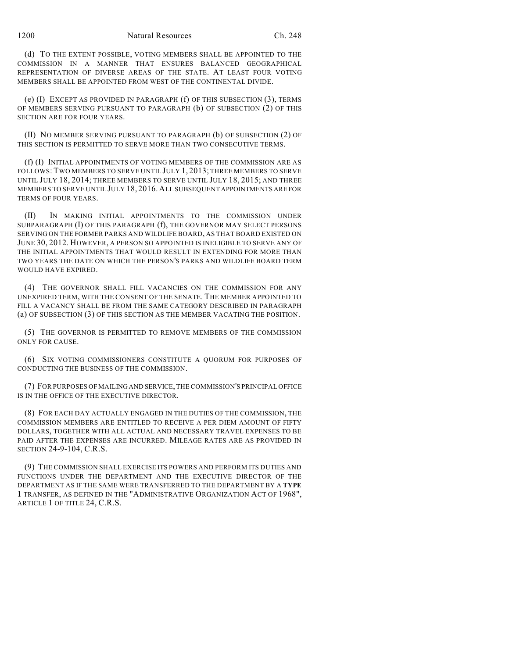## 1200 Natural Resources Ch. 248

(d) TO THE EXTENT POSSIBLE, VOTING MEMBERS SHALL BE APPOINTED TO THE COMMISSION IN A MANNER THAT ENSURES BALANCED GEOGRAPHICAL REPRESENTATION OF DIVERSE AREAS OF THE STATE. AT LEAST FOUR VOTING MEMBERS SHALL BE APPOINTED FROM WEST OF THE CONTINENTAL DIVIDE.

(e) (I) EXCEPT AS PROVIDED IN PARAGRAPH (f) OF THIS SUBSECTION (3), TERMS OF MEMBERS SERVING PURSUANT TO PARAGRAPH (b) OF SUBSECTION (2) OF THIS SECTION ARE FOR FOUR YEARS.

(II) NO MEMBER SERVING PURSUANT TO PARAGRAPH (b) OF SUBSECTION (2) OF THIS SECTION IS PERMITTED TO SERVE MORE THAN TWO CONSECUTIVE TERMS.

(f) (I) INITIAL APPOINTMENTS OF VOTING MEMBERS OF THE COMMISSION ARE AS FOLLOWS: TWO MEMBERS TO SERVE UNTIL JULY 1, 2013; THREE MEMBERS TO SERVE UNTIL JULY 18, 2014; THREE MEMBERS TO SERVE UNTIL JULY 18, 2015; AND THREE MEMBERS TO SERVE UNTIL JULY 18, 2016.ALL SUBSEQUENT APPOINTMENTS ARE FOR TERMS OF FOUR YEARS.

(II) IN MAKING INITIAL APPOINTMENTS TO THE COMMISSION UNDER SUBPARAGRAPH (I) OF THIS PARAGRAPH (f), THE GOVERNOR MAY SELECT PERSONS SERVING ON THE FORMER PARKS AND WILDLIFE BOARD, AS THAT BOARD EXISTED ON JUNE 30, 2012. HOWEVER, A PERSON SO APPOINTED IS INELIGIBLE TO SERVE ANY OF THE INITIAL APPOINTMENTS THAT WOULD RESULT IN EXTENDING FOR MORE THAN TWO YEARS THE DATE ON WHICH THE PERSON'S PARKS AND WILDLIFE BOARD TERM WOULD HAVE EXPIRED.

(4) THE GOVERNOR SHALL FILL VACANCIES ON THE COMMISSION FOR ANY UNEXPIRED TERM, WITH THE CONSENT OF THE SENATE. THE MEMBER APPOINTED TO FILL A VACANCY SHALL BE FROM THE SAME CATEGORY DESCRIBED IN PARAGRAPH (a) OF SUBSECTION (3) OF THIS SECTION AS THE MEMBER VACATING THE POSITION.

(5) THE GOVERNOR IS PERMITTED TO REMOVE MEMBERS OF THE COMMISSION ONLY FOR CAUSE.

(6) SIX VOTING COMMISSIONERS CONSTITUTE A QUORUM FOR PURPOSES OF CONDUCTING THE BUSINESS OF THE COMMISSION.

(7) FOR PURPOSES OF MAILINGAND SERVICE, THE COMMISSION'S PRINCIPAL OFFICE IS IN THE OFFICE OF THE EXECUTIVE DIRECTOR.

(8) FOR EACH DAY ACTUALLY ENGAGED IN THE DUTIES OF THE COMMISSION, THE COMMISSION MEMBERS ARE ENTITLED TO RECEIVE A PER DIEM AMOUNT OF FIFTY DOLLARS, TOGETHER WITH ALL ACTUAL AND NECESSARY TRAVEL EXPENSES TO BE PAID AFTER THE EXPENSES ARE INCURRED. MILEAGE RATES ARE AS PROVIDED IN SECTION 24-9-104, C.R.S.

(9) THE COMMISSION SHALL EXERCISE ITS POWERS AND PERFORM ITS DUTIES AND FUNCTIONS UNDER THE DEPARTMENT AND THE EXECUTIVE DIRECTOR OF THE DEPARTMENT AS IF THE SAME WERE TRANSFERRED TO THE DEPARTMENT BY A **TYPE 1** TRANSFER, AS DEFINED IN THE "ADMINISTRATIVE ORGANIZATION ACT OF 1968", ARTICLE 1 OF TITLE 24, C.R.S.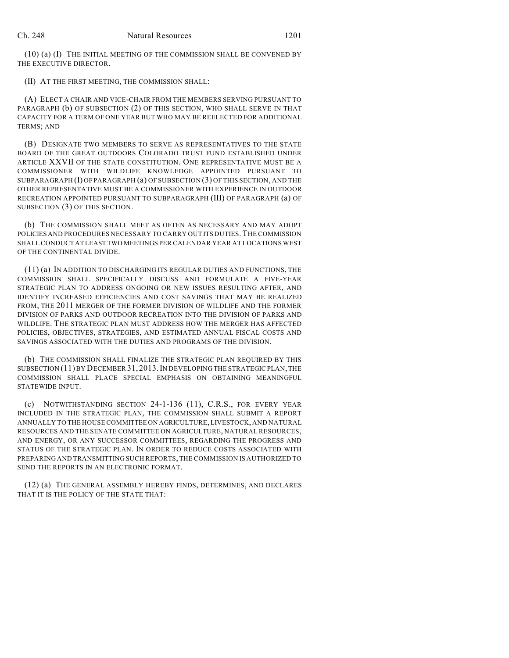(10) (a) (I) THE INITIAL MEETING OF THE COMMISSION SHALL BE CONVENED BY THE EXECUTIVE DIRECTOR.

(II) AT THE FIRST MEETING, THE COMMISSION SHALL:

(A) ELECT A CHAIR AND VICE-CHAIR FROM THE MEMBERS SERVING PURSUANT TO PARAGRAPH (b) OF SUBSECTION (2) OF THIS SECTION, WHO SHALL SERVE IN THAT CAPACITY FOR A TERM OF ONE YEAR BUT WHO MAY BE REELECTED FOR ADDITIONAL TERMS; AND

(B) DESIGNATE TWO MEMBERS TO SERVE AS REPRESENTATIVES TO THE STATE BOARD OF THE GREAT OUTDOORS COLORADO TRUST FUND ESTABLISHED UNDER ARTICLE XXVII OF THE STATE CONSTITUTION. ONE REPRESENTATIVE MUST BE A COMMISSIONER WITH WILDLIFE KNOWLEDGE APPOINTED PURSUANT TO SUBPARAGRAPH (I) OF PARAGRAPH (a) OF SUBSECTION (3) OF THIS SECTION, AND THE OTHER REPRESENTATIVE MUST BE A COMMISSIONER WITH EXPERIENCE IN OUTDOOR RECREATION APPOINTED PURSUANT TO SUBPARAGRAPH (III) OF PARAGRAPH (a) OF SUBSECTION (3) OF THIS SECTION.

(b) THE COMMISSION SHALL MEET AS OFTEN AS NECESSARY AND MAY ADOPT POLICIES AND PROCEDURES NECESSARY TO CARRY OUT ITS DUTIES.THE COMMISSION SHALLCONDUCT AT LEAST TWO MEETINGS PER CALENDAR YEAR AT LOCATIONS WEST OF THE CONTINENTAL DIVIDE.

(11) (a) IN ADDITION TO DISCHARGING ITS REGULAR DUTIES AND FUNCTIONS, THE COMMISSION SHALL SPECIFICALLY DISCUSS AND FORMULATE A FIVE-YEAR STRATEGIC PLAN TO ADDRESS ONGOING OR NEW ISSUES RESULTING AFTER, AND IDENTIFY INCREASED EFFICIENCIES AND COST SAVINGS THAT MAY BE REALIZED FROM, THE 2011 MERGER OF THE FORMER DIVISION OF WILDLIFE AND THE FORMER DIVISION OF PARKS AND OUTDOOR RECREATION INTO THE DIVISION OF PARKS AND WILDLIFE. THE STRATEGIC PLAN MUST ADDRESS HOW THE MERGER HAS AFFECTED POLICIES, OBJECTIVES, STRATEGIES, AND ESTIMATED ANNUAL FISCAL COSTS AND SAVINGS ASSOCIATED WITH THE DUTIES AND PROGRAMS OF THE DIVISION.

(b) THE COMMISSION SHALL FINALIZE THE STRATEGIC PLAN REQUIRED BY THIS SUBSECTION (11) BY DECEMBER 31, 2013.IN DEVELOPING THE STRATEGIC PLAN, THE COMMISSION SHALL PLACE SPECIAL EMPHASIS ON OBTAINING MEANINGFUL STATEWIDE INPUT.

(c) NOTWITHSTANDING SECTION 24-1-136 (11), C.R.S., FOR EVERY YEAR INCLUDED IN THE STRATEGIC PLAN, THE COMMISSION SHALL SUBMIT A REPORT ANNUALLY TO THE HOUSE COMMITTEE ON AGRICULTURE, LIVESTOCK, AND NATURAL RESOURCES AND THE SENATE COMMITTEE ON AGRICULTURE, NATURAL RESOURCES, AND ENERGY, OR ANY SUCCESSOR COMMITTEES, REGARDING THE PROGRESS AND STATUS OF THE STRATEGIC PLAN. IN ORDER TO REDUCE COSTS ASSOCIATED WITH PREPARING AND TRANSMITTING SUCH REPORTS, THE COMMISSION IS AUTHORIZED TO SEND THE REPORTS IN AN ELECTRONIC FORMAT.

(12) (a) THE GENERAL ASSEMBLY HEREBY FINDS, DETERMINES, AND DECLARES THAT IT IS THE POLICY OF THE STATE THAT: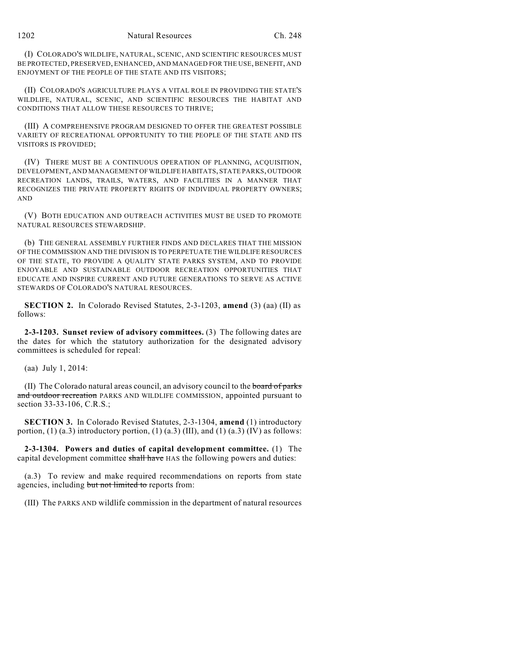(I) COLORADO'S WILDLIFE, NATURAL, SCENIC, AND SCIENTIFIC RESOURCES MUST BE PROTECTED, PRESERVED, ENHANCED, AND MANAGED FOR THE USE, BENEFIT, AND ENJOYMENT OF THE PEOPLE OF THE STATE AND ITS VISITORS;

(II) COLORADO'S AGRICULTURE PLAYS A VITAL ROLE IN PROVIDING THE STATE'S WILDLIFE, NATURAL, SCENIC, AND SCIENTIFIC RESOURCES THE HABITAT AND CONDITIONS THAT ALLOW THESE RESOURCES TO THRIVE;

(III) A COMPREHENSIVE PROGRAM DESIGNED TO OFFER THE GREATEST POSSIBLE VARIETY OF RECREATIONAL OPPORTUNITY TO THE PEOPLE OF THE STATE AND ITS VISITORS IS PROVIDED;

(IV) THERE MUST BE A CONTINUOUS OPERATION OF PLANNING, ACQUISITION, DEVELOPMENT, AND MANAGEMENT OFWILDLIFE HABITATS, STATE PARKS, OUTDOOR RECREATION LANDS, TRAILS, WATERS, AND FACILITIES IN A MANNER THAT RECOGNIZES THE PRIVATE PROPERTY RIGHTS OF INDIVIDUAL PROPERTY OWNERS; AND

(V) BOTH EDUCATION AND OUTREACH ACTIVITIES MUST BE USED TO PROMOTE NATURAL RESOURCES STEWARDSHIP.

(b) THE GENERAL ASSEMBLY FURTHER FINDS AND DECLARES THAT THE MISSION OF THE COMMISSION AND THE DIVISION IS TO PERPETUATE THE WILDLIFE RESOURCES OF THE STATE, TO PROVIDE A QUALITY STATE PARKS SYSTEM, AND TO PROVIDE ENJOYABLE AND SUSTAINABLE OUTDOOR RECREATION OPPORTUNITIES THAT EDUCATE AND INSPIRE CURRENT AND FUTURE GENERATIONS TO SERVE AS ACTIVE STEWARDS OF COLORADO'S NATURAL RESOURCES.

**SECTION 2.** In Colorado Revised Statutes, 2-3-1203, **amend** (3) (aa) (II) as follows:

**2-3-1203. Sunset review of advisory committees.** (3) The following dates are the dates for which the statutory authorization for the designated advisory committees is scheduled for repeal:

(aa) July 1, 2014:

(II) The Colorado natural areas council, an advisory council to the board of parks and outdoor recreation PARKS AND WILDLIFE COMMISSION, appointed pursuant to section 33-33-106, C.R.S.;

**SECTION 3.** In Colorado Revised Statutes, 2-3-1304, **amend** (1) introductory portion, (1) (a.3) introductory portion, (1) (a.3) (III), and (1) (a.3) (IV) as follows:

**2-3-1304. Powers and duties of capital development committee.** (1) The capital development committee shall have HAS the following powers and duties:

(a.3) To review and make required recommendations on reports from state agencies, including but not limited to reports from:

(III) The PARKS AND wildlife commission in the department of natural resources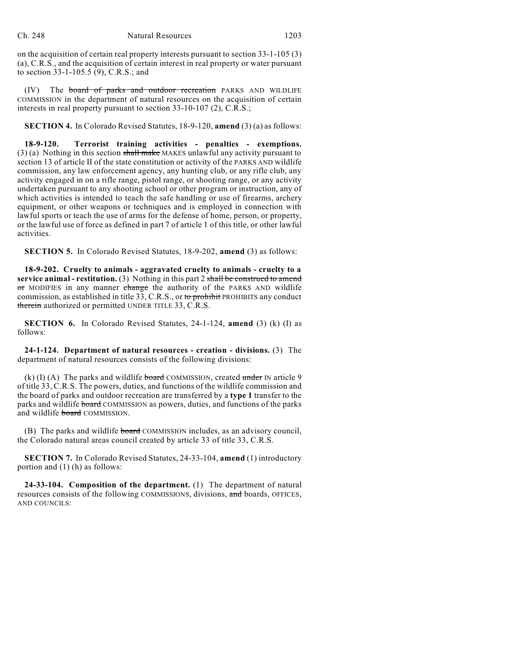on the acquisition of certain real property interests pursuant to section 33-1-105 (3) (a), C.R.S., and the acquisition of certain interest in real property or water pursuant to section 33-1-105.5 (9), C.R.S.; and

(IV) The board of parks and outdoor recreation PARKS AND WILDLIFE COMMISSION in the department of natural resources on the acquisition of certain interests in real property pursuant to section 33-10-107 (2), C.R.S.;

**SECTION 4.** In Colorado Revised Statutes, 18-9-120, **amend** (3) (a) as follows:

**18-9-120. Terrorist training activities - penalties - exemptions.**  $(3)$  (a) Nothing in this section shall make MAKES unlawful any activity pursuant to section 13 of article II of the state constitution or activity of the PARKS AND wildlife commission, any law enforcement agency, any hunting club, or any rifle club, any activity engaged in on a rifle range, pistol range, or shooting range, or any activity undertaken pursuant to any shooting school or other program or instruction, any of which activities is intended to teach the safe handling or use of firearms, archery equipment, or other weapons or techniques and is employed in connection with lawful sports or teach the use of arms for the defense of home, person, or property, or the lawful use of force as defined in part 7 of article 1 of this title, or other lawful activities.

**SECTION 5.** In Colorado Revised Statutes, 18-9-202, **amend** (3) as follows:

**18-9-202. Cruelty to animals - aggravated cruelty to animals - cruelty to a service animal - restitution.** (3) Nothing in this part 2 shall be construed to amend or MODIFIES in any manner change the authority of the PARKS AND wildlife commission, as established in title  $33$ , C.R.S., or to prohibit PROHIBITS any conduct therein authorized or permitted UNDER TITLE 33, C.R.S.

**SECTION 6.** In Colorado Revised Statutes, 24-1-124, **amend** (3) (k) (I) as follows:

**24-1-124. Department of natural resources - creation - divisions.** (3) The department of natural resources consists of the following divisions:

(k) (I) (A) The parks and wildlife board COMMISSION, created under IN article 9 of title 33, C.R.S. The powers, duties, and functions of the wildlife commission and the board of parks and outdoor recreation are transferred by a **type 1** transfer to the parks and wildlife board COMMISSION as powers, duties, and functions of the parks and wildlife board COMMISSION.

(B) The parks and wildlife board COMMISSION includes, as an advisory council, the Colorado natural areas council created by article 33 of title 33, C.R.S.

**SECTION 7.** In Colorado Revised Statutes, 24-33-104, **amend** (1) introductory portion and (1) (h) as follows:

**24-33-104. Composition of the department.** (1) The department of natural resources consists of the following COMMISSIONS, divisions, and boards, OFFICES, AND COUNCILS: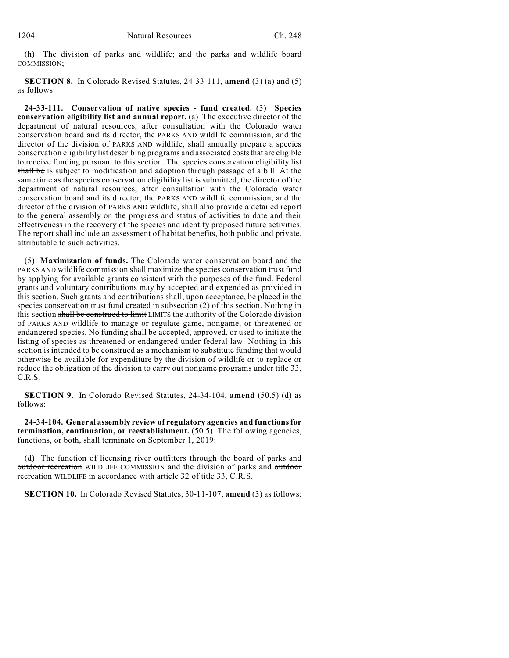(h) The division of parks and wildlife; and the parks and wildlife board COMMISSION;

**SECTION 8.** In Colorado Revised Statutes, 24-33-111, **amend** (3) (a) and (5) as follows:

**24-33-111. Conservation of native species - fund created.** (3) **Species conservation eligibility list and annual report.** (a) The executive director of the department of natural resources, after consultation with the Colorado water conservation board and its director, the PARKS AND wildlife commission, and the director of the division of PARKS AND wildlife, shall annually prepare a species conservation eligibility list describing programs and associated coststhat are eligible to receive funding pursuant to this section. The species conservation eligibility list shall be IS subject to modification and adoption through passage of a bill. At the same time as the species conservation eligibility list is submitted, the director of the department of natural resources, after consultation with the Colorado water conservation board and its director, the PARKS AND wildlife commission, and the director of the division of PARKS AND wildlife, shall also provide a detailed report to the general assembly on the progress and status of activities to date and their effectiveness in the recovery of the species and identify proposed future activities. The report shall include an assessment of habitat benefits, both public and private, attributable to such activities.

(5) **Maximization of funds.** The Colorado water conservation board and the PARKS AND wildlife commission shall maximize the species conservation trust fund by applying for available grants consistent with the purposes of the fund. Federal grants and voluntary contributions may by accepted and expended as provided in this section. Such grants and contributions shall, upon acceptance, be placed in the species conservation trust fund created in subsection (2) of this section. Nothing in this section shall be construed to limit LIMITS the authority of the Colorado division of PARKS AND wildlife to manage or regulate game, nongame, or threatened or endangered species. No funding shall be accepted, approved, or used to initiate the listing of species as threatened or endangered under federal law. Nothing in this section is intended to be construed as a mechanism to substitute funding that would otherwise be available for expenditure by the division of wildlife or to replace or reduce the obligation of the division to carry out nongame programs under title 33, C.R.S.

**SECTION 9.** In Colorado Revised Statutes, 24-34-104, **amend** (50.5) (d) as follows:

**24-34-104. General assembly review of regulatory agencies and functionsfor termination, continuation, or reestablishment.** (50.5) The following agencies, functions, or both, shall terminate on September 1, 2019:

(d) The function of licensing river outfitters through the board of parks and outdoor recreation WILDLIFE COMMISSION and the division of parks and outdoor recreation WILDLIFE in accordance with article 32 of title 33, C.R.S.

**SECTION 10.** In Colorado Revised Statutes, 30-11-107, **amend** (3) as follows: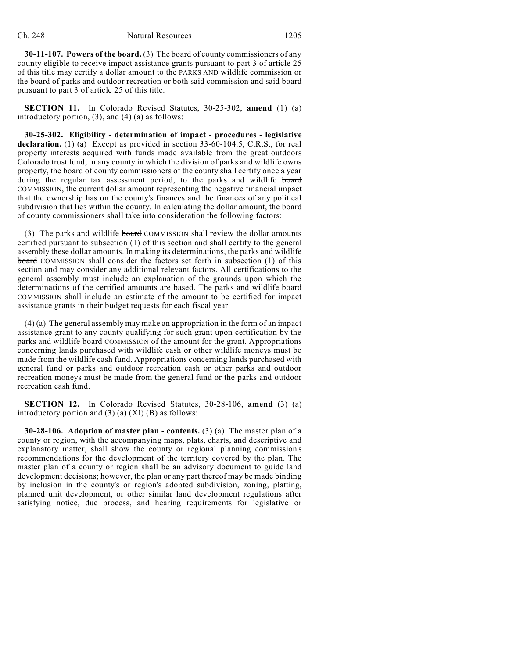**30-11-107. Powers of the board.** (3) The board of county commissioners of any county eligible to receive impact assistance grants pursuant to part 3 of article 25 of this title may certify a dollar amount to the PARKS AND wildlife commission or the board of parks and outdoor recreation or both said commission and said board pursuant to part 3 of article 25 of this title.

**SECTION 11.** In Colorado Revised Statutes, 30-25-302, **amend** (1) (a) introductory portion, (3), and (4) (a) as follows:

**30-25-302. Eligibility - determination of impact - procedures - legislative declaration.** (1) (a) Except as provided in section 33-60-104.5, C.R.S., for real property interests acquired with funds made available from the great outdoors Colorado trust fund, in any county in which the division of parks and wildlife owns property, the board of county commissioners of the county shall certify once a year during the regular tax assessment period, to the parks and wildlife board COMMISSION, the current dollar amount representing the negative financial impact that the ownership has on the county's finances and the finances of any political subdivision that lies within the county. In calculating the dollar amount, the board of county commissioners shall take into consideration the following factors:

(3) The parks and wildlife board COMMISSION shall review the dollar amounts certified pursuant to subsection (1) of this section and shall certify to the general assembly these dollar amounts. In making its determinations, the parks and wildlife board COMMISSION shall consider the factors set forth in subsection (1) of this section and may consider any additional relevant factors. All certifications to the general assembly must include an explanation of the grounds upon which the determinations of the certified amounts are based. The parks and wildlife board COMMISSION shall include an estimate of the amount to be certified for impact assistance grants in their budget requests for each fiscal year.

(4) (a) The general assembly may make an appropriation in the form of an impact assistance grant to any county qualifying for such grant upon certification by the parks and wildlife **board** COMMISSION of the amount for the grant. Appropriations concerning lands purchased with wildlife cash or other wildlife moneys must be made from the wildlife cash fund. Appropriations concerning lands purchased with general fund or parks and outdoor recreation cash or other parks and outdoor recreation moneys must be made from the general fund or the parks and outdoor recreation cash fund.

**SECTION 12.** In Colorado Revised Statutes, 30-28-106, **amend** (3) (a) introductory portion and  $(3)$   $(a)$   $(XI)$   $(B)$  as follows:

**30-28-106. Adoption of master plan - contents.** (3) (a) The master plan of a county or region, with the accompanying maps, plats, charts, and descriptive and explanatory matter, shall show the county or regional planning commission's recommendations for the development of the territory covered by the plan. The master plan of a county or region shall be an advisory document to guide land development decisions; however, the plan or any part thereof may be made binding by inclusion in the county's or region's adopted subdivision, zoning, platting, planned unit development, or other similar land development regulations after satisfying notice, due process, and hearing requirements for legislative or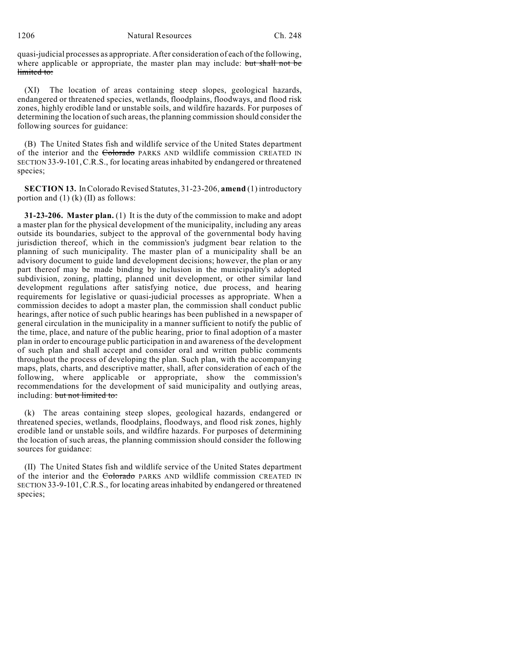quasi-judicial processes as appropriate. After consideration of each of the following, where applicable or appropriate, the master plan may include: but shall not be limited to:

(XI) The location of areas containing steep slopes, geological hazards, endangered or threatened species, wetlands, floodplains, floodways, and flood risk zones, highly erodible land or unstable soils, and wildfire hazards. For purposes of determining the location of such areas, the planning commission should consider the following sources for guidance:

(B) The United States fish and wildlife service of the United States department of the interior and the Colorado PARKS AND wildlife commission CREATED IN SECTION 33-9-101,C.R.S., for locating areas inhabited by endangered or threatened species;

**SECTION 13.** In Colorado Revised Statutes, 31-23-206, **amend** (1) introductory portion and  $(1)$  (k)  $(II)$  as follows:

**31-23-206. Master plan.** (1) It is the duty of the commission to make and adopt a master plan for the physical development of the municipality, including any areas outside its boundaries, subject to the approval of the governmental body having jurisdiction thereof, which in the commission's judgment bear relation to the planning of such municipality. The master plan of a municipality shall be an advisory document to guide land development decisions; however, the plan or any part thereof may be made binding by inclusion in the municipality's adopted subdivision, zoning, platting, planned unit development, or other similar land development regulations after satisfying notice, due process, and hearing requirements for legislative or quasi-judicial processes as appropriate. When a commission decides to adopt a master plan, the commission shall conduct public hearings, after notice of such public hearings has been published in a newspaper of general circulation in the municipality in a manner sufficient to notify the public of the time, place, and nature of the public hearing, prior to final adoption of a master plan in order to encourage public participation in and awareness of the development of such plan and shall accept and consider oral and written public comments throughout the process of developing the plan. Such plan, with the accompanying maps, plats, charts, and descriptive matter, shall, after consideration of each of the following, where applicable or appropriate, show the commission's recommendations for the development of said municipality and outlying areas, including: but not limited to:

(k) The areas containing steep slopes, geological hazards, endangered or threatened species, wetlands, floodplains, floodways, and flood risk zones, highly erodible land or unstable soils, and wildfire hazards. For purposes of determining the location of such areas, the planning commission should consider the following sources for guidance:

(II) The United States fish and wildlife service of the United States department of the interior and the Colorado PARKS AND wildlife commission CREATED IN SECTION 33-9-101,C.R.S., for locating areas inhabited by endangered or threatened species;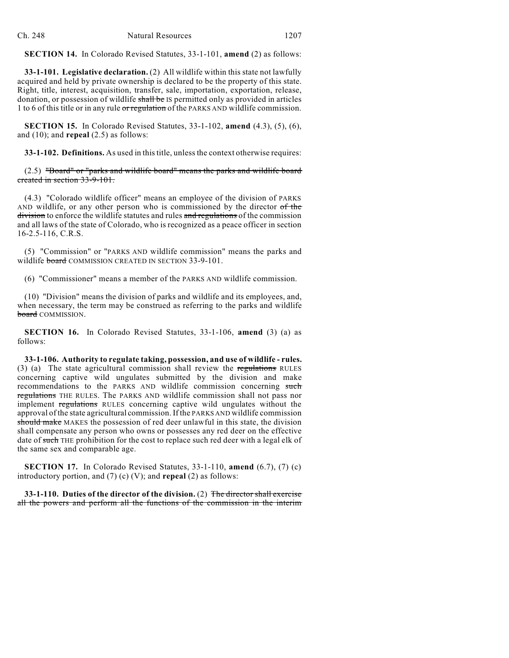**SECTION 14.** In Colorado Revised Statutes, 33-1-101, **amend** (2) as follows:

**33-1-101. Legislative declaration.** (2) All wildlife within this state not lawfully acquired and held by private ownership is declared to be the property of this state. Right, title, interest, acquisition, transfer, sale, importation, exportation, release, donation, or possession of wildlife shall be IS permitted only as provided in articles 1 to 6 of this title or in any rule or regulation of the PARKS AND wildlife commission.

**SECTION 15.** In Colorado Revised Statutes, 33-1-102, **amend** (4.3), (5), (6), and (10); and **repeal** (2.5) as follows:

**33-1-102. Definitions.** As used in thistitle, unlessthe context otherwise requires:

(2.5) "Board" or "parks and wildlife board" means the parks and wildlife board created in section 33-9-101.

(4.3) "Colorado wildlife officer" means an employee of the division of PARKS AND wildlife, or any other person who is commissioned by the director of the division to enforce the wildlife statutes and rules and regulations of the commission and all laws of the state of Colorado, who is recognized as a peace officer in section 16-2.5-116, C.R.S.

(5) "Commission" or "PARKS AND wildlife commission" means the parks and wildlife **board** COMMISSION CREATED IN SECTION 33-9-101.

(6) "Commissioner" means a member of the PARKS AND wildlife commission.

(10) "Division" means the division of parks and wildlife and its employees, and, when necessary, the term may be construed as referring to the parks and wildlife board COMMISSION.

**SECTION 16.** In Colorado Revised Statutes, 33-1-106, **amend** (3) (a) as follows:

**33-1-106. Authority to regulate taking, possession, and use of wildlife - rules.** (3) (a) The state agricultural commission shall review the regulations RULES concerning captive wild ungulates submitted by the division and make recommendations to the PARKS AND wildlife commission concerning such regulations THE RULES. The PARKS AND wildlife commission shall not pass nor implement regulations RULES concerning captive wild ungulates without the approval of the state agricultural commission. If the PARKS AND wildlife commission should make MAKES the possession of red deer unlawful in this state, the division shall compensate any person who owns or possesses any red deer on the effective date of such THE prohibition for the cost to replace such red deer with a legal elk of the same sex and comparable age.

**SECTION 17.** In Colorado Revised Statutes, 33-1-110, **amend** (6.7), (7) (c) introductory portion, and (7) (c) (V); and **repeal** (2) as follows:

**33-1-110. Duties of the director of the division.** (2) The director shall exercise all the powers and perform all the functions of the commission in the interim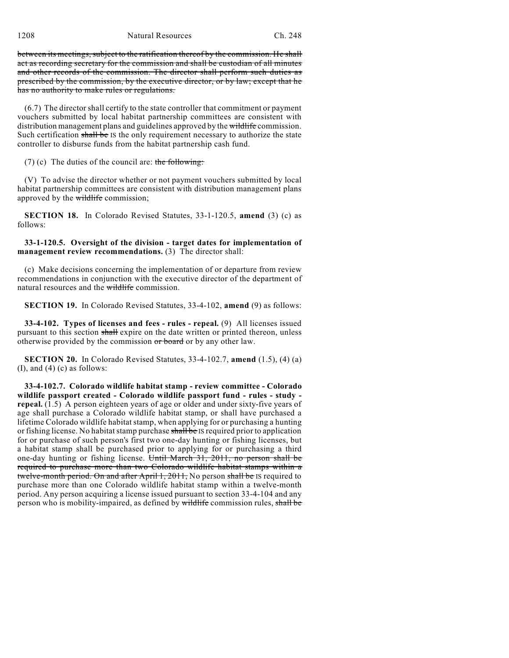between its meetings, subject to the ratification thereof by the commission. He shall act as recording secretary for the commission and shall be custodian of all minutes and other records of the commission. The director shall perform such duties as prescribed by the commission, by the executive director, or by law; except that he has no authority to make rules or regulations.

(6.7) The director shall certify to the state controller that commitment or payment vouchers submitted by local habitat partnership committees are consistent with distribution management plans and guidelines approved by the wildlife commission. Such certification shall be IS the only requirement necessary to authorize the state controller to disburse funds from the habitat partnership cash fund.

(7) (c) The duties of the council are: the following:

(V) To advise the director whether or not payment vouchers submitted by local habitat partnership committees are consistent with distribution management plans approved by the wildlife commission;

**SECTION 18.** In Colorado Revised Statutes, 33-1-120.5, **amend** (3) (c) as follows:

**33-1-120.5. Oversight of the division - target dates for implementation of management review recommendations.** (3) The director shall:

(c) Make decisions concerning the implementation of or departure from review recommendations in conjunction with the executive director of the department of natural resources and the wildlife commission.

**SECTION 19.** In Colorado Revised Statutes, 33-4-102, **amend** (9) as follows:

**33-4-102. Types of licenses and fees - rules - repeal.** (9) All licenses issued pursuant to this section shall expire on the date written or printed thereon, unless otherwise provided by the commission or board or by any other law.

**SECTION 20.** In Colorado Revised Statutes, 33-4-102.7, **amend** (1.5), (4) (a)  $(I)$ , and  $(4)$   $(c)$  as follows:

**33-4-102.7. Colorado wildlife habitat stamp - review committee - Colorado wildlife passport created - Colorado wildlife passport fund - rules - study repeal.** (1.5) A person eighteen years of age or older and under sixty-five years of age shall purchase a Colorado wildlife habitat stamp, or shall have purchased a lifetime Colorado wildlife habitat stamp, when applying for or purchasing a hunting or fishing license. No habitat stamp purchase shall be IS required prior to application for or purchase of such person's first two one-day hunting or fishing licenses, but a habitat stamp shall be purchased prior to applying for or purchasing a third one-day hunting or fishing license. Until March 31, 2011, no person shall be required to purchase more than two Colorado wildlife habitat stamps within a twelve-month period. On and after April 1, 2011, No person shall be IS required to purchase more than one Colorado wildlife habitat stamp within a twelve-month period. Any person acquiring a license issued pursuant to section 33-4-104 and any person who is mobility-impaired, as defined by wildlife commission rules, shall be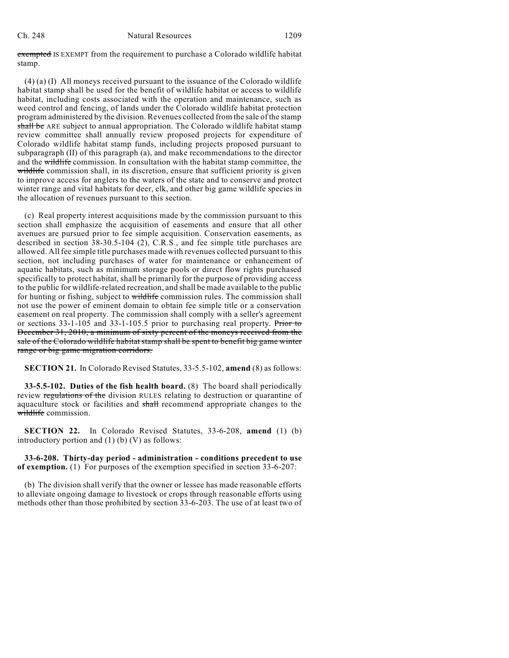#### Ch. 248 Natural Resources 1209

exempted IS EXEMPT from the requirement to purchase a Colorado wildlife habitat stamp.

(4) (a) (I) All moneys received pursuant to the issuance of the Colorado wildlife habitat stamp shall be used for the benefit of wildlife habitat or access to wildlife habitat, including costs associated with the operation and maintenance, such as weed control and fencing, of lands under the Colorado wildlife habitat protection program administered by the division. Revenues collected from the sale of the stamp shall be ARE subject to annual appropriation. The Colorado wildlife habitat stamp review committee shall annually review proposed projects for expenditure of Colorado wildlife habitat stamp funds, including projects proposed pursuant to subparagraph (II) of this paragraph (a), and make recommendations to the director and the wildlife commission. In consultation with the habitat stamp committee, the wildlife commission shall, in its discretion, ensure that sufficient priority is given to improve access for anglers to the waters of the state and to conserve and protect winter range and vital habitats for deer, elk, and other big game wildlife species in the allocation of revenues pursuant to this section.

(c) Real property interest acquisitions made by the commission pursuant to this section shall emphasize the acquisition of easements and ensure that all other avenues are pursued prior to fee simple acquisition. Conservation easements, as described in section 38-30.5-104 (2), C.R.S., and fee simple title purchases are allowed. All fee simple title purchases made with revenues collected pursuant to this section, not including purchases of water for maintenance or enhancement of aquatic habitats, such as minimum storage pools or direct flow rights purchased specifically to protect habitat, shall be primarily for the purpose of providing access to the public for wildlife-related recreation, and shall be made available to the public for hunting or fishing, subject to wildlife commission rules. The commission shall not use the power of eminent domain to obtain fee simple title or a conservation easement on real property. The commission shall comply with a seller's agreement or sections 33-1-105 and 33-1-105.5 prior to purchasing real property. Prior to December 31, 2010, a minimum of sixty percent of the moneys received from the sale of the Colorado wildlife habitat stamp shall be spent to benefit big game winter range or big game migration corridors.

**SECTION 21.** In Colorado Revised Statutes, 33-5.5-102, **amend** (8) as follows:

**33-5.5-102. Duties of the fish health board.** (8) The board shall periodically review regulations of the division RULES relating to destruction or quarantine of aquaculture stock or facilities and shall recommend appropriate changes to the wildlife commission.

**SECTION 22.** In Colorado Revised Statutes, 33-6-208, **amend** (1) (b) introductory portion and  $(1)$  (b) (V) as follows:

**33-6-208. Thirty-day period - administration - conditions precedent to use of exemption.** (1) For purposes of the exemption specified in section 33-6-207:

(b) The division shall verify that the owner or lessee has made reasonable efforts to alleviate ongoing damage to livestock or crops through reasonable efforts using methods other than those prohibited by section 33-6-203. The use of at least two of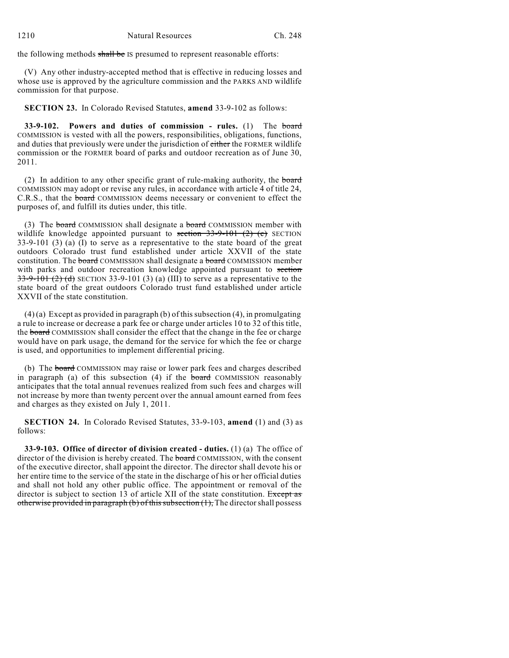the following methods shall be IS presumed to represent reasonable efforts:

(V) Any other industry-accepted method that is effective in reducing losses and whose use is approved by the agriculture commission and the PARKS AND wildlife commission for that purpose.

**SECTION 23.** In Colorado Revised Statutes, **amend** 33-9-102 as follows:

**33-9-102. Powers and duties of commission - rules.** (1) The board COMMISSION is vested with all the powers, responsibilities, obligations, functions, and duties that previously were under the jurisdiction of either the FORMER wildlife commission or the FORMER board of parks and outdoor recreation as of June 30, 2011.

(2) In addition to any other specific grant of rule-making authority, the board COMMISSION may adopt or revise any rules, in accordance with article 4 of title 24, C.R.S., that the board COMMISSION deems necessary or convenient to effect the purposes of, and fulfill its duties under, this title.

(3) The board COMMISSION shall designate a board COMMISSION member with wildlife knowledge appointed pursuant to section  $33-9-101$  (2) (c) SECTION 33-9-101 (3) (a) (I) to serve as a representative to the state board of the great outdoors Colorado trust fund established under article XXVII of the state constitution. The **board** COMMISSION shall designate a **board** COMMISSION member with parks and outdoor recreation knowledge appointed pursuant to section  $33-9-101$  (2) (d) SECTION 33-9-101 (3) (a) (III) to serve as a representative to the state board of the great outdoors Colorado trust fund established under article XXVII of the state constitution.

 $(4)$  (a) Except as provided in paragraph (b) of this subsection (4), in promulgating a rule to increase or decrease a park fee or charge under articles 10 to 32 of this title, the board COMMISSION shall consider the effect that the change in the fee or charge would have on park usage, the demand for the service for which the fee or charge is used, and opportunities to implement differential pricing.

(b) The board COMMISSION may raise or lower park fees and charges described in paragraph (a) of this subsection  $(4)$  if the board COMMISSION reasonably anticipates that the total annual revenues realized from such fees and charges will not increase by more than twenty percent over the annual amount earned from fees and charges as they existed on July 1, 2011.

**SECTION 24.** In Colorado Revised Statutes, 33-9-103, **amend** (1) and (3) as follows:

**33-9-103. Office of director of division created - duties.** (1) (a) The office of director of the division is hereby created. The board COMMISSION, with the consent of the executive director, shall appoint the director. The director shall devote his or her entire time to the service of the state in the discharge of his or her official duties and shall not hold any other public office. The appointment or removal of the director is subject to section 13 of article XII of the state constitution. Except as otherwise provided in paragraph (b) of this subsection  $(1)$ , The director shall possess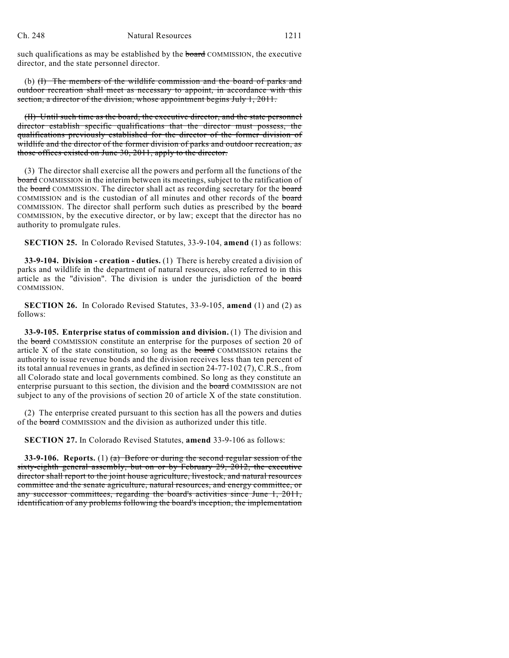such qualifications as may be established by the board COMMISSION, the executive director, and the state personnel director.

(b)  $(H)$  The members of the wildlife commission and the board of parks and outdoor recreation shall meet as necessary to appoint, in accordance with this section, a director of the division, whose appointment begins July 1, 2011.

(II) Until such time as the board, the executive director, and the state personnel director establish specific qualifications that the director must possess, the qualifications previously established for the director of the former division of wildlife and the director of the former division of parks and outdoor recreation, as those offices existed on June 30, 2011, apply to the director.

(3) The director shall exercise all the powers and perform all the functions of the board COMMISSION in the interim between its meetings, subject to the ratification of the board COMMISSION. The director shall act as recording secretary for the board COMMISSION and is the custodian of all minutes and other records of the board COMMISSION. The director shall perform such duties as prescribed by the board COMMISSION, by the executive director, or by law; except that the director has no authority to promulgate rules.

**SECTION 25.** In Colorado Revised Statutes, 33-9-104, **amend** (1) as follows:

**33-9-104. Division - creation - duties.** (1) There is hereby created a division of parks and wildlife in the department of natural resources, also referred to in this article as the "division". The division is under the jurisdiction of the board COMMISSION.

**SECTION 26.** In Colorado Revised Statutes, 33-9-105, **amend** (1) and (2) as follows:

**33-9-105. Enterprise status of commission and division.** (1) The division and the **board** COMMISSION constitute an enterprise for the purposes of section 20 of article X of the state constitution, so long as the board COMMISSION retains the authority to issue revenue bonds and the division receives less than ten percent of its total annual revenues in grants, as defined in section 24-77-102 (7), C.R.S., from all Colorado state and local governments combined. So long as they constitute an enterprise pursuant to this section, the division and the **board** COMMISSION are not subject to any of the provisions of section 20 of article X of the state constitution.

(2) The enterprise created pursuant to this section has all the powers and duties of the board COMMISSION and the division as authorized under this title.

**SECTION 27.** In Colorado Revised Statutes, **amend** 33-9-106 as follows:

**33-9-106. Reports.** (1) (a) Before or during the second regular session of the sixty-eighth general assembly, but on or by February 29, 2012, the executive director shall report to the joint house agriculture, livestock, and natural resources committee and the senate agriculture, natural resources, and energy committee, or any successor committees, regarding the board's activities since June 1, 2011, identification of any problems following the board's inception, the implementation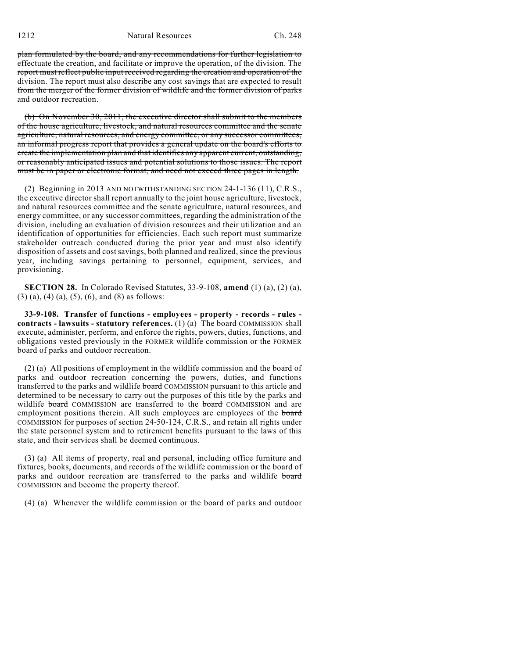plan formulated by the board, and any recommendations for further legislation to effectuate the creation, and facilitate or improve the operation, of the division. The report must reflect public input received regarding the creation and operation of the division. The report must also describe any cost savings that are expected to result from the merger of the former division of wildlife and the former division of parks and outdoor recreation.

(b) On November 30, 2011, the executive director shall submit to the members of the house agriculture, livestock, and natural resources committee and the senate agriculture, natural resources, and energy committee, or any successor committees, an informal progress report that provides a general update on the board's efforts to create the implementation plan and that identifies any apparent current, outstanding, or reasonably anticipated issues and potential solutions to those issues. The report must be in paper or electronic format, and need not exceed three pages in length.

(2) Beginning in 2013 AND NOTWITHSTANDING SECTION 24-1-136 (11), C.R.S., the executive director shall report annually to the joint house agriculture, livestock, and natural resources committee and the senate agriculture, natural resources, and energy committee, or any successor committees, regarding the administration of the division, including an evaluation of division resources and their utilization and an identification of opportunities for efficiencies. Each such report must summarize stakeholder outreach conducted during the prior year and must also identify disposition of assets and cost savings, both planned and realized, since the previous year, including savings pertaining to personnel, equipment, services, and provisioning.

**SECTION 28.** In Colorado Revised Statutes, 33-9-108, **amend** (1) (a), (2) (a), (3) (a), (4) (a), (5), (6), and (8) as follows:

**33-9-108. Transfer of functions - employees - property - records - rules contracts - lawsuits - statutory references.** (1) (a) The board COMMISSION shall execute, administer, perform, and enforce the rights, powers, duties, functions, and obligations vested previously in the FORMER wildlife commission or the FORMER board of parks and outdoor recreation.

(2) (a) All positions of employment in the wildlife commission and the board of parks and outdoor recreation concerning the powers, duties, and functions transferred to the parks and wildlife **board** COMMISSION pursuant to this article and determined to be necessary to carry out the purposes of this title by the parks and wildlife board COMMISSION are transferred to the board COMMISSION and are employment positions therein. All such employees are employees of the board COMMISSION for purposes of section 24-50-124, C.R.S., and retain all rights under the state personnel system and to retirement benefits pursuant to the laws of this state, and their services shall be deemed continuous.

(3) (a) All items of property, real and personal, including office furniture and fixtures, books, documents, and records of the wildlife commission or the board of parks and outdoor recreation are transferred to the parks and wildlife board COMMISSION and become the property thereof.

(4) (a) Whenever the wildlife commission or the board of parks and outdoor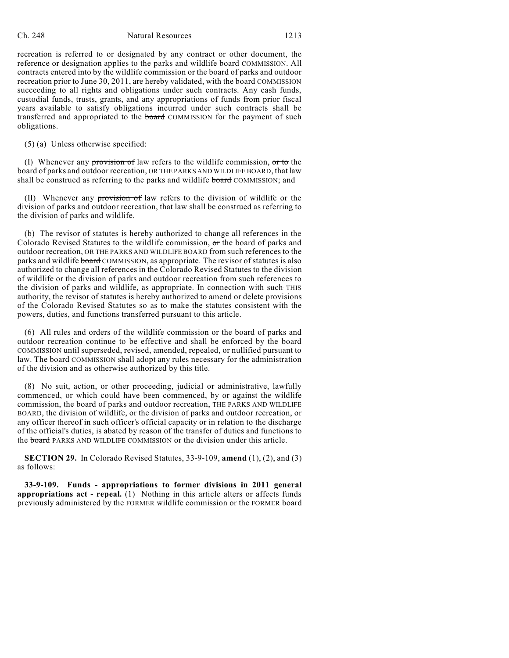# Ch. 248 Natural Resources 1213

recreation is referred to or designated by any contract or other document, the reference or designation applies to the parks and wildlife board COMMISSION. All contracts entered into by the wildlife commission or the board of parks and outdoor recreation prior to June 30, 2011, are hereby validated, with the **board** COMMISSION succeeding to all rights and obligations under such contracts. Any cash funds, custodial funds, trusts, grants, and any appropriations of funds from prior fiscal years available to satisfy obligations incurred under such contracts shall be transferred and appropriated to the **board** COMMISSION for the payment of such obligations.

(5) (a) Unless otherwise specified:

(I) Whenever any provision of law refers to the wildlife commission, or to the board of parks and outdoor recreation, OR THE PARKS AND WILDLIFE BOARD, that law shall be construed as referring to the parks and wildlife board COMMISSION; and

(II) Whenever any provision of law refers to the division of wildlife or the division of parks and outdoor recreation, that law shall be construed as referring to the division of parks and wildlife.

(b) The revisor of statutes is hereby authorized to change all references in the Colorado Revised Statutes to the wildlife commission, or the board of parks and outdoor recreation, OR THE PARKS AND WILDLIFE BOARD from such references to the parks and wildlife board COMMISSION, as appropriate. The revisor of statutes is also authorized to change all references in the Colorado Revised Statutes to the division of wildlife or the division of parks and outdoor recreation from such references to the division of parks and wildlife, as appropriate. In connection with such THIS authority, the revisor of statutes is hereby authorized to amend or delete provisions of the Colorado Revised Statutes so as to make the statutes consistent with the powers, duties, and functions transferred pursuant to this article.

(6) All rules and orders of the wildlife commission or the board of parks and outdoor recreation continue to be effective and shall be enforced by the board COMMISSION until superseded, revised, amended, repealed, or nullified pursuant to law. The board COMMISSION shall adopt any rules necessary for the administration of the division and as otherwise authorized by this title.

(8) No suit, action, or other proceeding, judicial or administrative, lawfully commenced, or which could have been commenced, by or against the wildlife commission, the board of parks and outdoor recreation, THE PARKS AND WILDLIFE BOARD, the division of wildlife, or the division of parks and outdoor recreation, or any officer thereof in such officer's official capacity or in relation to the discharge of the official's duties, is abated by reason of the transfer of duties and functions to the board PARKS AND WILDLIFE COMMISSION or the division under this article.

**SECTION 29.** In Colorado Revised Statutes, 33-9-109, **amend** (1), (2), and (3) as follows:

**33-9-109. Funds - appropriations to former divisions in 2011 general appropriations act - repeal.** (1) Nothing in this article alters or affects funds previously administered by the FORMER wildlife commission or the FORMER board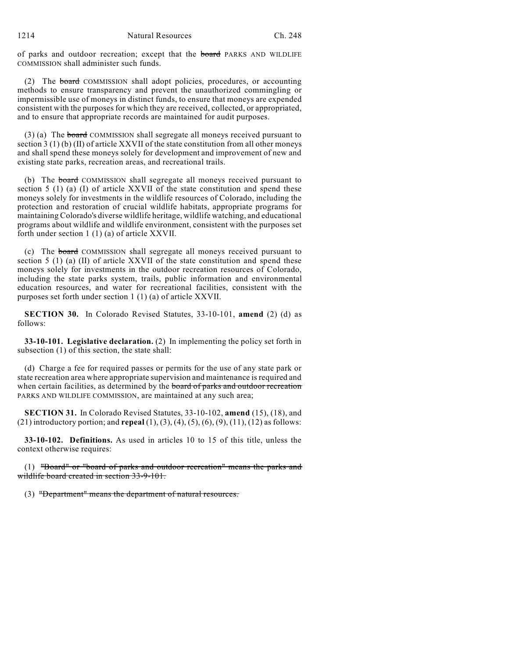1214 Natural Resources Ch. 248

of parks and outdoor recreation; except that the board PARKS AND WILDLIFE COMMISSION shall administer such funds.

(2) The board COMMISSION shall adopt policies, procedures, or accounting methods to ensure transparency and prevent the unauthorized commingling or impermissible use of moneys in distinct funds, to ensure that moneys are expended consistent with the purposes for which they are received, collected, or appropriated, and to ensure that appropriate records are maintained for audit purposes.

(3) (a) The board COMMISSION shall segregate all moneys received pursuant to section 3 (1) (b) (II) of article XXVII of the state constitution from all other moneys and shall spend these moneys solely for development and improvement of new and existing state parks, recreation areas, and recreational trails.

(b) The board COMMISSION shall segregate all moneys received pursuant to section  $5$  (1) (a) (I) of article XXVII of the state constitution and spend these moneys solely for investments in the wildlife resources of Colorado, including the protection and restoration of crucial wildlife habitats, appropriate programs for maintaining Colorado's diverse wildlife heritage, wildlife watching, and educational programs about wildlife and wildlife environment, consistent with the purposes set forth under section 1 (1) (a) of article XXVII.

(c) The board COMMISSION shall segregate all moneys received pursuant to section 5 (1) (a) (II) of article XXVII of the state constitution and spend these moneys solely for investments in the outdoor recreation resources of Colorado, including the state parks system, trails, public information and environmental education resources, and water for recreational facilities, consistent with the purposes set forth under section 1 (1) (a) of article XXVII.

**SECTION 30.** In Colorado Revised Statutes, 33-10-101, **amend** (2) (d) as follows:

**33-10-101. Legislative declaration.** (2) In implementing the policy set forth in subsection (1) of this section, the state shall:

(d) Charge a fee for required passes or permits for the use of any state park or state recreation area where appropriate supervision and maintenance is required and when certain facilities, as determined by the **board of parks and outdoor recreation** PARKS AND WILDLIFE COMMISSION, are maintained at any such area;

**SECTION 31.** In Colorado Revised Statutes, 33-10-102, **amend** (15), (18), and (21) introductory portion; and **repeal** (1), (3), (4), (5), (6), (9), (11), (12) as follows:

**33-10-102. Definitions.** As used in articles 10 to 15 of this title, unless the context otherwise requires:

(1) "Board" or "board of parks and outdoor recreation" means the parks and wildlife board created in section 33-9-101.

(3) "Department" means the department of natural resources.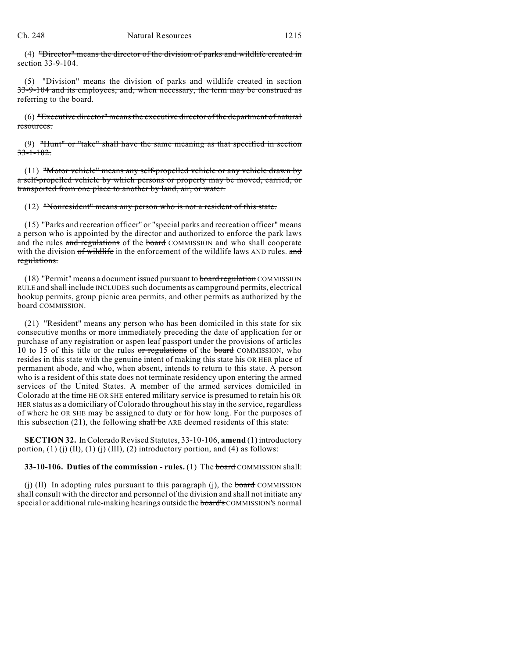(4) "Director" means the director of the division of parks and wildlife created in section 33-9-104.

(5) "Division" means the division of parks and wildlife created in section 33-9-104 and its employees, and, when necessary, the term may be construed as referring to the board.

(6) "Executive director" meansthe executive director of the department of natural resources.

 $(9)$  "Hunt" or "take" shall have the same meaning as that specified in section  $33 - 1 - 102.$ 

 $(11)$  "Motor vehicle" means any self-propelled vehicle or any vehicle drawn by a self-propelled vehicle by which persons or property may be moved, carried, or transported from one place to another by land, air, or water.

(12) "Nonresident" means any person who is not a resident of this state.

(15) "Parks and recreation officer" or "special parks and recreation officer" means a person who is appointed by the director and authorized to enforce the park laws and the rules and regulations of the board COMMISSION and who shall cooperate with the division of wildlife in the enforcement of the wildlife laws AND rules. and regulations.

(18) "Permit" means a document issued pursuant to board regulation COMMISSION RULE and shall include INCLUDES such documents as campground permits, electrical hookup permits, group picnic area permits, and other permits as authorized by the **board** COMMISSION.

(21) "Resident" means any person who has been domiciled in this state for six consecutive months or more immediately preceding the date of application for or purchase of any registration or aspen leaf passport under the provisions of articles 10 to 15 of this title or the rules or regulations of the board COMMISSION, who resides in this state with the genuine intent of making this state his OR HER place of permanent abode, and who, when absent, intends to return to this state. A person who is a resident of this state does not terminate residency upon entering the armed services of the United States. A member of the armed services domiciled in Colorado at the time HE OR SHE entered military service is presumed to retain his OR HER status as a domiciliary of Colorado throughout hisstay in the service, regardless of where he OR SHE may be assigned to duty or for how long. For the purposes of this subsection (21), the following shall be ARE deemed residents of this state:

**SECTION 32.** In Colorado Revised Statutes, 33-10-106, **amend** (1) introductory portion, (1) (j) (II), (1) (j) (III), (2) introductory portion, and (4) as follows:

**33-10-106. Duties of the commission - rules.** (1) The board COMMISSION shall:

(j) (II) In adopting rules pursuant to this paragraph (j), the board COMMISSION shall consult with the director and personnel of the division and shall not initiate any special or additional rule-making hearings outside the board's COMMISSION'S normal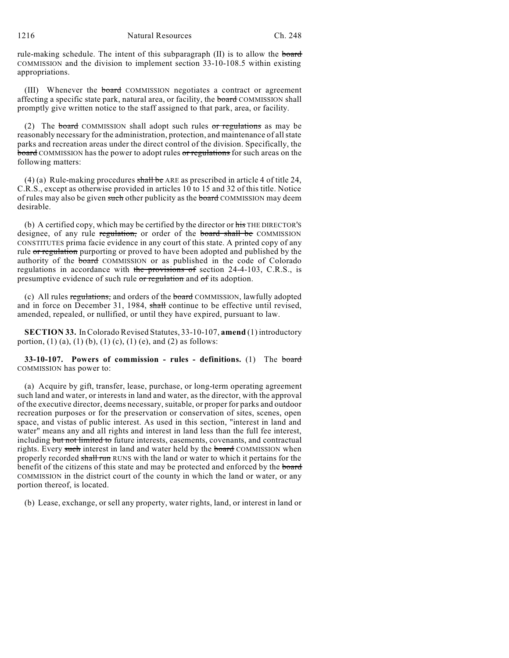rule-making schedule. The intent of this subparagraph (II) is to allow the board COMMISSION and the division to implement section 33-10-108.5 within existing appropriations.

(III) Whenever the board COMMISSION negotiates a contract or agreement affecting a specific state park, natural area, or facility, the board COMMISSION shall promptly give written notice to the staff assigned to that park, area, or facility.

(2) The board COMMISSION shall adopt such rules or regulations as may be reasonably necessary for the administration, protection, and maintenance of allstate parks and recreation areas under the direct control of the division. Specifically, the board COMMISSION has the power to adopt rules or regulations for such areas on the following matters:

(4) (a) Rule-making procedures shall be ARE as prescribed in article 4 of title 24, C.R.S., except as otherwise provided in articles 10 to 15 and 32 of this title. Notice of rules may also be given such other publicity as the board COMMISSION may deem desirable.

(b) A certified copy, which may be certified by the director or his THE DIRECTOR'S designee, of any rule regulation, or order of the board shall be COMMISSION CONSTITUTES prima facie evidence in any court of this state. A printed copy of any rule or regulation purporting or proved to have been adopted and published by the authority of the board COMMISSION or as published in the code of Colorado regulations in accordance with the provisions of section 24-4-103, C.R.S., is presumptive evidence of such rule or regulation and of its adoption.

(c) All rules regulations, and orders of the board COMMISSION, lawfully adopted and in force on December 31, 1984, shall continue to be effective until revised, amended, repealed, or nullified, or until they have expired, pursuant to law.

**SECTION 33.** In Colorado Revised Statutes, 33-10-107, **amend** (1) introductory portion, (1) (a), (1) (b), (1) (c), (1) (e), and (2) as follows:

**33-10-107. Powers of commission - rules - definitions.** (1) The board COMMISSION has power to:

(a) Acquire by gift, transfer, lease, purchase, or long-term operating agreement such land and water, or interests in land and water, as the director, with the approval of the executive director, deems necessary, suitable, or proper for parks and outdoor recreation purposes or for the preservation or conservation of sites, scenes, open space, and vistas of public interest. As used in this section, "interest in land and water" means any and all rights and interest in land less than the full fee interest, including but not limited to future interests, easements, covenants, and contractual rights. Every such interest in land and water held by the board COMMISSION when properly recorded shall run RUNS with the land or water to which it pertains for the benefit of the citizens of this state and may be protected and enforced by the board COMMISSION in the district court of the county in which the land or water, or any portion thereof, is located.

(b) Lease, exchange, or sell any property, water rights, land, or interest in land or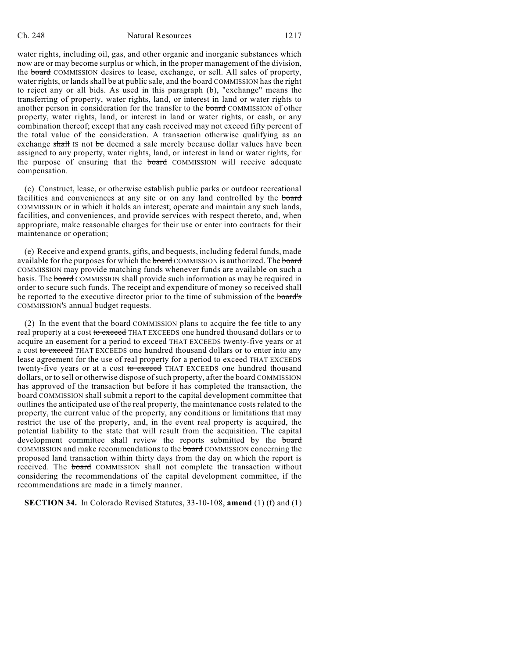# Ch. 248 Natural Resources 1217

water rights, including oil, gas, and other organic and inorganic substances which now are or may become surplus or which, in the proper management of the division, the board COMMISSION desires to lease, exchange, or sell. All sales of property, water rights, or lands shall be at public sale, and the board COMMISSION has the right to reject any or all bids. As used in this paragraph (b), "exchange" means the transferring of property, water rights, land, or interest in land or water rights to another person in consideration for the transfer to the board COMMISSION of other property, water rights, land, or interest in land or water rights, or cash, or any combination thereof; except that any cash received may not exceed fifty percent of the total value of the consideration. A transaction otherwise qualifying as an exchange shall IS not be deemed a sale merely because dollar values have been assigned to any property, water rights, land, or interest in land or water rights, for the purpose of ensuring that the **board** COMMISSION will receive adequate compensation.

(c) Construct, lease, or otherwise establish public parks or outdoor recreational facilities and conveniences at any site or on any land controlled by the board COMMISSION or in which it holds an interest; operate and maintain any such lands, facilities, and conveniences, and provide services with respect thereto, and, when appropriate, make reasonable charges for their use or enter into contracts for their maintenance or operation;

(e) Receive and expend grants, gifts, and bequests, including federal funds, made available for the purposes for which the board COMMISSION is authorized. The board COMMISSION may provide matching funds whenever funds are available on such a basis. The board COMMISSION shall provide such information as may be required in order to secure such funds. The receipt and expenditure of money so received shall be reported to the executive director prior to the time of submission of the board's COMMISSION'S annual budget requests.

(2) In the event that the board COMMISSION plans to acquire the fee title to any real property at a cost to exceed THAT EXCEEDS one hundred thousand dollars or to acquire an easement for a period to exceed THAT EXCEEDS twenty-five years or at a cost to exceed THAT EXCEEDS one hundred thousand dollars or to enter into any lease agreement for the use of real property for a period to exceed THAT EXCEEDS twenty-five years or at a cost to exceed THAT EXCEEDS one hundred thousand dollars, or to sell or otherwise dispose of such property, after the board COMMISSION has approved of the transaction but before it has completed the transaction, the **board** COMMISSION shall submit a report to the capital development committee that outlines the anticipated use of the real property, the maintenance costs related to the property, the current value of the property, any conditions or limitations that may restrict the use of the property, and, in the event real property is acquired, the potential liability to the state that will result from the acquisition. The capital development committee shall review the reports submitted by the board COMMISSION and make recommendations to the board COMMISSION concerning the proposed land transaction within thirty days from the day on which the report is received. The board COMMISSION shall not complete the transaction without considering the recommendations of the capital development committee, if the recommendations are made in a timely manner.

**SECTION 34.** In Colorado Revised Statutes, 33-10-108, **amend** (1) (f) and (1)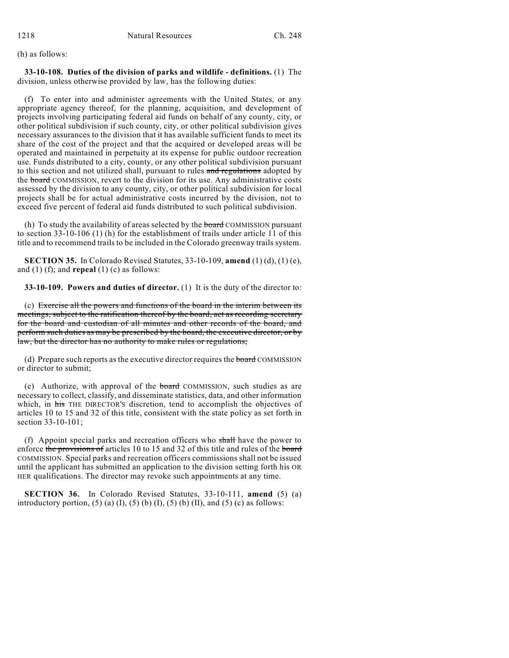(h) as follows:

**33-10-108. Duties of the division of parks and wildlife - definitions.** (1) The division, unless otherwise provided by law, has the following duties:

(f) To enter into and administer agreements with the United States, or any appropriate agency thereof, for the planning, acquisition, and development of projects involving participating federal aid funds on behalf of any county, city, or other political subdivision if such county, city, or other political subdivision gives necessary assurances to the division that it has available sufficient funds to meet its share of the cost of the project and that the acquired or developed areas will be operated and maintained in perpetuity at its expense for public outdoor recreation use. Funds distributed to a city, county, or any other political subdivision pursuant to this section and not utilized shall, pursuant to rules and regulations adopted by the board COMMISSION, revert to the division for its use. Any administrative costs assessed by the division to any county, city, or other political subdivision for local projects shall be for actual administrative costs incurred by the division, not to exceed five percent of federal aid funds distributed to such political subdivision.

(h) To study the availability of areas selected by the board COMMISSION pursuant to section 33-10-106 (1) (h) for the establishment of trails under article 11 of this title and to recommend trails to be included in the Colorado greenway trails system.

**SECTION 35.** In Colorado Revised Statutes, 33-10-109, **amend** (1) (d), (1) (e), and (1) (f); and **repeal** (1) (c) as follows:

**33-10-109. Powers and duties of director.** (1) It is the duty of the director to:

(c) Exercise all the powers and functions of the board in the interim between its meetings, subject to the ratification thereof by the board, act as recording secretary for the board and custodian of all minutes and other records of the board, and perform such duties as may be prescribed by the board, the executive director, or by law, but the director has no authority to make rules or regulations;

(d) Prepare such reports as the executive director requires the board COMMISSION or director to submit;

(e) Authorize, with approval of the board COMMISSION, such studies as are necessary to collect, classify, and disseminate statistics, data, and other information which, in his THE DIRECTOR'S discretion, tend to accomplish the objectives of articles 10 to 15 and 32 of this title, consistent with the state policy as set forth in section 33-10-101;

(f) Appoint special parks and recreation officers who shall have the power to enforce the provisions of articles 10 to 15 and 32 of this title and rules of the board COMMISSION. Special parks and recreation officers commissions shall not be issued until the applicant has submitted an application to the division setting forth his OR HER qualifications. The director may revoke such appointments at any time.

**SECTION 36.** In Colorado Revised Statutes, 33-10-111, **amend** (5) (a) introductory portion, (5) (a) (I), (5) (b) (I), (5) (b) (II), and (5) (c) as follows: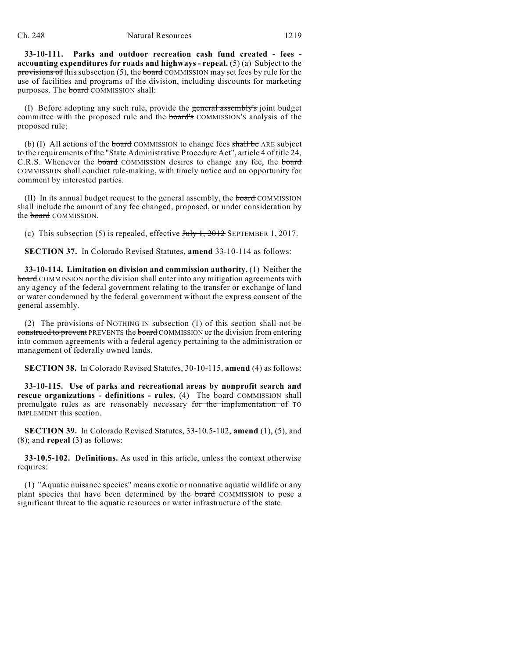**33-10-111. Parks and outdoor recreation cash fund created - fees accounting expenditures for roads and highways - repeal.** (5) (a) Subject to the provisions of this subsection  $(5)$ , the board COMMISSION may set fees by rule for the use of facilities and programs of the division, including discounts for marketing purposes. The board COMMISSION shall:

(I) Before adopting any such rule, provide the general assembly's joint budget committee with the proposed rule and the **board's** COMMISSION'S analysis of the proposed rule;

(b) (I) All actions of the board COMMISSION to change fees shall be ARE subject to the requirements of the "State Administrative Procedure Act", article 4 of title 24, C.R.S. Whenever the **board** COMMISSION desires to change any fee, the **board** COMMISSION shall conduct rule-making, with timely notice and an opportunity for comment by interested parties.

(II) In its annual budget request to the general assembly, the board COMMISSION shall include the amount of any fee changed, proposed, or under consideration by the **board** COMMISSION.

(c) This subsection (5) is repealed, effective  $J_{\text{t}}/J_{\text{t}}$ , 2012 SEPTEMBER 1, 2017.

**SECTION 37.** In Colorado Revised Statutes, **amend** 33-10-114 as follows:

**33-10-114. Limitation on division and commission authority.** (1) Neither the **board** COMMISSION nor the division shall enter into any mitigation agreements with any agency of the federal government relating to the transfer or exchange of land or water condemned by the federal government without the express consent of the general assembly.

(2) The provisions of NOTHING IN subsection (1) of this section shall not be construed to prevent PREVENTS the board COMMISSION or the division from entering into common agreements with a federal agency pertaining to the administration or management of federally owned lands.

**SECTION 38.** In Colorado Revised Statutes, 30-10-115, **amend** (4) as follows:

**33-10-115. Use of parks and recreational areas by nonprofit search and rescue organizations - definitions - rules.** (4) The board COMMISSION shall promulgate rules as are reasonably necessary for the implementation of TO IMPLEMENT this section.

**SECTION 39.** In Colorado Revised Statutes, 33-10.5-102, **amend** (1), (5), and (8); and **repeal** (3) as follows:

**33-10.5-102. Definitions.** As used in this article, unless the context otherwise requires:

(1) "Aquatic nuisance species" means exotic or nonnative aquatic wildlife or any plant species that have been determined by the board COMMISSION to pose a significant threat to the aquatic resources or water infrastructure of the state.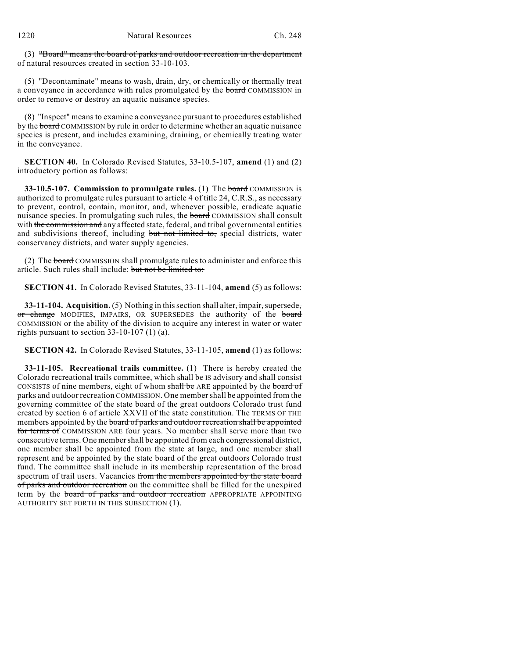(3) "Board" means the board of parks and outdoor recreation in the department of natural resources created in section 33-10-103.

(5) "Decontaminate" means to wash, drain, dry, or chemically or thermally treat a conveyance in accordance with rules promulgated by the board COMMISSION in order to remove or destroy an aquatic nuisance species.

(8) "Inspect" means to examine a conveyance pursuant to procedures established by the board COMMISSION by rule in order to determine whether an aquatic nuisance species is present, and includes examining, draining, or chemically treating water in the conveyance.

**SECTION 40.** In Colorado Revised Statutes, 33-10.5-107, **amend** (1) and (2) introductory portion as follows:

**33-10.5-107. Commission to promulgate rules.** (1) The board COMMISSION is authorized to promulgate rules pursuant to article 4 of title 24, C.R.S., as necessary to prevent, control, contain, monitor, and, whenever possible, eradicate aquatic nuisance species. In promulgating such rules, the **board** COMMISSION shall consult with the commission and any affected state, federal, and tribal governmental entities and subdivisions thereof, including but not limited to, special districts, water conservancy districts, and water supply agencies.

(2) The board COMMISSION shall promulgate rules to administer and enforce this article. Such rules shall include: but not be limited to:

**SECTION 41.** In Colorado Revised Statutes, 33-11-104, **amend** (5) as follows:

**33-11-104.** Acquisition. (5) Nothing in this section shall alter, impair, supersede, or change MODIFIES, IMPAIRS, OR SUPERSEDES the authority of the board COMMISSION or the ability of the division to acquire any interest in water or water rights pursuant to section 33-10-107 (1) (a).

**SECTION 42.** In Colorado Revised Statutes, 33-11-105, **amend** (1) as follows:

**33-11-105. Recreational trails committee.** (1) There is hereby created the Colorado recreational trails committee, which shall be IS advisory and shall consist CONSISTS of nine members, eight of whom shall be ARE appointed by the board of parks and outdoor recreation COMMISSION. One membershall be appointed from the governing committee of the state board of the great outdoors Colorado trust fund created by section 6 of article XXVII of the state constitution. The TERMS OF THE members appointed by the board of parks and outdoor recreation shall be appointed for terms of COMMISSION ARE four years. No member shall serve more than two consecutive terms. One membershall be appointed from each congressional district, one member shall be appointed from the state at large, and one member shall represent and be appointed by the state board of the great outdoors Colorado trust fund. The committee shall include in its membership representation of the broad spectrum of trail users. Vacancies from the members appointed by the state board of parks and outdoor recreation on the committee shall be filled for the unexpired term by the board of parks and outdoor recreation APPROPRIATE APPOINTING AUTHORITY SET FORTH IN THIS SUBSECTION (1).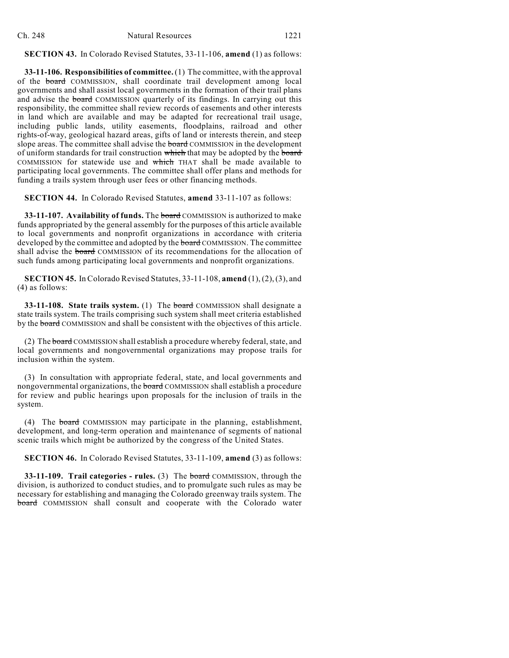**SECTION 43.** In Colorado Revised Statutes, 33-11-106, **amend** (1) as follows:

**33-11-106. Responsibilities of committee.**(1) The committee, with the approval of the board COMMISSION, shall coordinate trail development among local governments and shall assist local governments in the formation of their trail plans and advise the board COMMISSION quarterly of its findings. In carrying out this responsibility, the committee shall review records of easements and other interests in land which are available and may be adapted for recreational trail usage, including public lands, utility easements, floodplains, railroad and other rights-of-way, geological hazard areas, gifts of land or interests therein, and steep slope areas. The committee shall advise the board COMMISSION in the development of uniform standards for trail construction which that may be adopted by the board COMMISSION for statewide use and which THAT shall be made available to participating local governments. The committee shall offer plans and methods for funding a trails system through user fees or other financing methods.

**SECTION 44.** In Colorado Revised Statutes, **amend** 33-11-107 as follows:

**33-11-107. Availability of funds.** The board COMMISSION is authorized to make funds appropriated by the general assembly for the purposes of this article available to local governments and nonprofit organizations in accordance with criteria developed by the committee and adopted by the board COMMISSION. The committee shall advise the **board** COMMISSION of its recommendations for the allocation of such funds among participating local governments and nonprofit organizations.

**SECTION 45.** In Colorado Revised Statutes, 33-11-108, **amend** (1), (2),(3), and (4) as follows:

**33-11-108. State trails system.** (1) The board COMMISSION shall designate a state trails system. The trails comprising such system shall meet criteria established by the board COMMISSION and shall be consistent with the objectives of this article.

(2) The board COMMISSION shall establish a procedure whereby federal, state, and local governments and nongovernmental organizations may propose trails for inclusion within the system.

(3) In consultation with appropriate federal, state, and local governments and nongovernmental organizations, the **board** COMMISSION shall establish a procedure for review and public hearings upon proposals for the inclusion of trails in the system.

(4) The board COMMISSION may participate in the planning, establishment, development, and long-term operation and maintenance of segments of national scenic trails which might be authorized by the congress of the United States.

**SECTION 46.** In Colorado Revised Statutes, 33-11-109, **amend** (3) as follows:

**33-11-109. Trail categories - rules.** (3) The board COMMISSION, through the division, is authorized to conduct studies, and to promulgate such rules as may be necessary for establishing and managing the Colorado greenway trails system. The board COMMISSION shall consult and cooperate with the Colorado water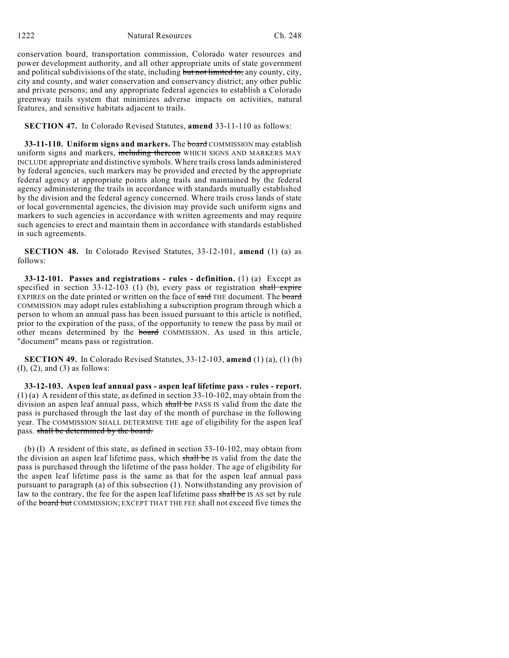1222 Natural Resources Ch. 248

conservation board, transportation commission, Colorado water resources and power development authority, and all other appropriate units of state government and political subdivisions of the state, including but not limited to, any county, city, city and county, and water conservation and conservancy district; any other public and private persons; and any appropriate federal agencies to establish a Colorado greenway trails system that minimizes adverse impacts on activities, natural features, and sensitive habitats adjacent to trails.

**SECTION 47.** In Colorado Revised Statutes, **amend** 33-11-110 as follows:

**33-11-110. Uniform signs and markers.** The board COMMISSION may establish uniform signs and markers, including thereon WHICH SIGNS AND MARKERS MAY INCLUDE appropriate and distinctive symbols. Where trails crosslands administered by federal agencies, such markers may be provided and erected by the appropriate federal agency at appropriate points along trails and maintained by the federal agency administering the trails in accordance with standards mutually established by the division and the federal agency concerned. Where trails cross lands of state or local governmental agencies, the division may provide such uniform signs and markers to such agencies in accordance with written agreements and may require such agencies to erect and maintain them in accordance with standards established in such agreements.

**SECTION 48.** In Colorado Revised Statutes, 33-12-101, **amend** (1) (a) as follows:

**33-12-101. Passes and registrations - rules - definition.** (1) (a) Except as specified in section  $33-12-103$  (1) (b), every pass or registration shall expire EXPIRES on the date printed or written on the face of said THE document. The board COMMISSION may adopt rules establishing a subscription program through which a person to whom an annual pass has been issued pursuant to this article is notified, prior to the expiration of the pass, of the opportunity to renew the pass by mail or other means determined by the board COMMISSION. As used in this article, "document" means pass or registration.

**SECTION 49.** In Colorado Revised Statutes, 33-12-103, **amend** (1) (a), (1) (b)  $(I), (2),$  and  $(3)$  as follows:

**33-12-103. Aspen leaf annual pass - aspen leaf lifetime pass - rules - report.**  $(1)$  (a) A resident of this state, as defined in section 33-10-102, may obtain from the division an aspen leaf annual pass, which shall be PASS IS valid from the date the pass is purchased through the last day of the month of purchase in the following year. The COMMISSION SHALL DETERMINE THE age of eligibility for the aspen leaf pass. shall be determined by the board.

(b) (I) A resident of this state, as defined in section 33-10-102, may obtain from the division an aspen leaf lifetime pass, which shall be IS valid from the date the pass is purchased through the lifetime of the pass holder. The age of eligibility for the aspen leaf lifetime pass is the same as that for the aspen leaf annual pass pursuant to paragraph (a) of this subsection (1). Notwithstanding any provision of law to the contrary, the fee for the aspen leaf lifetime pass shall be IS AS set by rule of the board but COMMISSION; EXCEPT THAT THE FEE shall not exceed five times the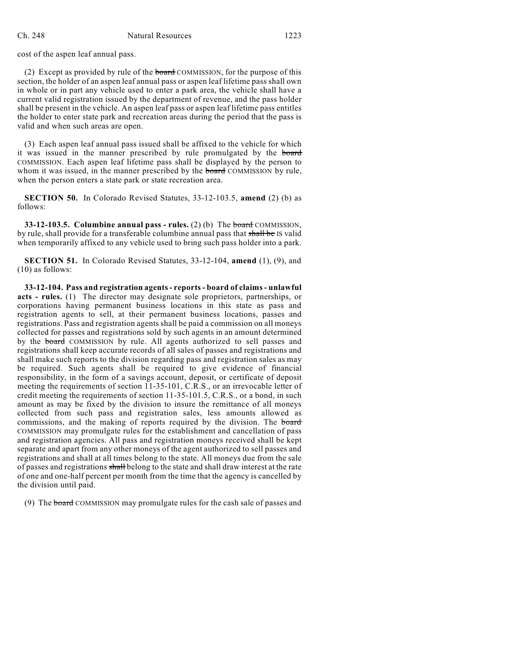cost of the aspen leaf annual pass.

(2) Except as provided by rule of the board COMMISSION, for the purpose of this section, the holder of an aspen leaf annual pass or aspen leaf lifetime pass shall own in whole or in part any vehicle used to enter a park area, the vehicle shall have a current valid registration issued by the department of revenue, and the pass holder shall be present in the vehicle. An aspen leaf pass or aspen leaf lifetime pass entitles the holder to enter state park and recreation areas during the period that the pass is valid and when such areas are open.

(3) Each aspen leaf annual pass issued shall be affixed to the vehicle for which it was issued in the manner prescribed by rule promulgated by the board COMMISSION. Each aspen leaf lifetime pass shall be displayed by the person to whom it was issued, in the manner prescribed by the **board** COMMISSION by rule, when the person enters a state park or state recreation area.

**SECTION 50.** In Colorado Revised Statutes, 33-12-103.5, **amend** (2) (b) as follows:

**33-12-103.5. Columbine annual pass - rules.** (2) (b) The board COMMISSION, by rule, shall provide for a transferable columbine annual pass that shall be IS valid when temporarily affixed to any vehicle used to bring such pass holder into a park.

**SECTION 51.** In Colorado Revised Statutes, 33-12-104, **amend** (1), (9), and (10) as follows:

**33-12-104. Pass and registration agents- reports- board of claims- unlawful acts - rules.** (1) The director may designate sole proprietors, partnerships, or corporations having permanent business locations in this state as pass and registration agents to sell, at their permanent business locations, passes and registrations. Pass and registration agents shall be paid a commission on all moneys collected for passes and registrations sold by such agents in an amount determined by the **board** COMMISSION by rule. All agents authorized to sell passes and registrations shall keep accurate records of all sales of passes and registrations and shall make such reports to the division regarding pass and registration sales as may be required. Such agents shall be required to give evidence of financial responsibility, in the form of a savings account, deposit, or certificate of deposit meeting the requirements of section 11-35-101, C.R.S., or an irrevocable letter of credit meeting the requirements of section 11-35-101.5, C.R.S., or a bond, in such amount as may be fixed by the division to insure the remittance of all moneys collected from such pass and registration sales, less amounts allowed as commissions, and the making of reports required by the division. The board COMMISSION may promulgate rules for the establishment and cancellation of pass and registration agencies. All pass and registration moneys received shall be kept separate and apart from any other moneys of the agent authorized to sell passes and registrations and shall at all times belong to the state. All moneys due from the sale of passes and registrations shall belong to the state and shall draw interest at the rate of one and one-half percent per month from the time that the agency is cancelled by the division until paid.

(9) The board COMMISSION may promulgate rules for the cash sale of passes and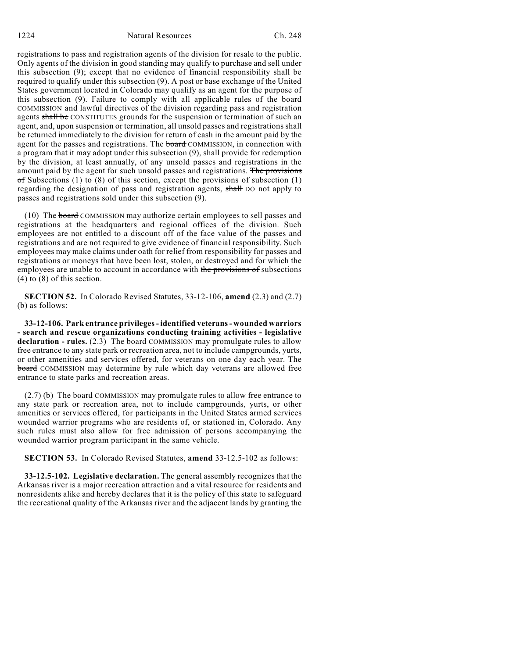registrations to pass and registration agents of the division for resale to the public. Only agents of the division in good standing may qualify to purchase and sell under this subsection (9); except that no evidence of financial responsibility shall be required to qualify under this subsection (9). A post or base exchange of the United States government located in Colorado may qualify as an agent for the purpose of this subsection  $(9)$ . Failure to comply with all applicable rules of the board COMMISSION and lawful directives of the division regarding pass and registration agents shall be CONSTITUTES grounds for the suspension or termination of such an agent, and, upon suspension or termination, all unsold passes and registrations shall be returned immediately to the division for return of cash in the amount paid by the agent for the passes and registrations. The board COMMISSION, in connection with a program that it may adopt under this subsection (9), shall provide for redemption by the division, at least annually, of any unsold passes and registrations in the amount paid by the agent for such unsold passes and registrations. The provisions  $\sigma$ f Subsections (1) to (8) of this section, except the provisions of subsection (1) regarding the designation of pass and registration agents, shall DO not apply to passes and registrations sold under this subsection (9).

(10) The board COMMISSION may authorize certain employees to sell passes and registrations at the headquarters and regional offices of the division. Such employees are not entitled to a discount off of the face value of the passes and registrations and are not required to give evidence of financial responsibility. Such employees may make claims under oath for relief from responsibility for passes and registrations or moneys that have been lost, stolen, or destroyed and for which the employees are unable to account in accordance with the provisions of subsections (4) to (8) of this section.

**SECTION 52.** In Colorado Revised Statutes, 33-12-106, **amend** (2.3) and (2.7) (b) as follows:

**33-12-106. Park entrance privileges- identified veterans - wounded warriors - search and rescue organizations conducting training activities - legislative declaration - rules.** (2.3) The board COMMISSION may promulgate rules to allow free entrance to any state park or recreation area, not to include campgrounds, yurts, or other amenities and services offered, for veterans on one day each year. The board COMMISSION may determine by rule which day veterans are allowed free entrance to state parks and recreation areas.

 $(2.7)$  (b) The board COMMISSION may promulgate rules to allow free entrance to any state park or recreation area, not to include campgrounds, yurts, or other amenities or services offered, for participants in the United States armed services wounded warrior programs who are residents of, or stationed in, Colorado. Any such rules must also allow for free admission of persons accompanying the wounded warrior program participant in the same vehicle.

**SECTION 53.** In Colorado Revised Statutes, **amend** 33-12.5-102 as follows:

**33-12.5-102. Legislative declaration.** The general assembly recognizes that the Arkansas river is a major recreation attraction and a vital resource for residents and nonresidents alike and hereby declares that it is the policy of this state to safeguard the recreational quality of the Arkansas river and the adjacent lands by granting the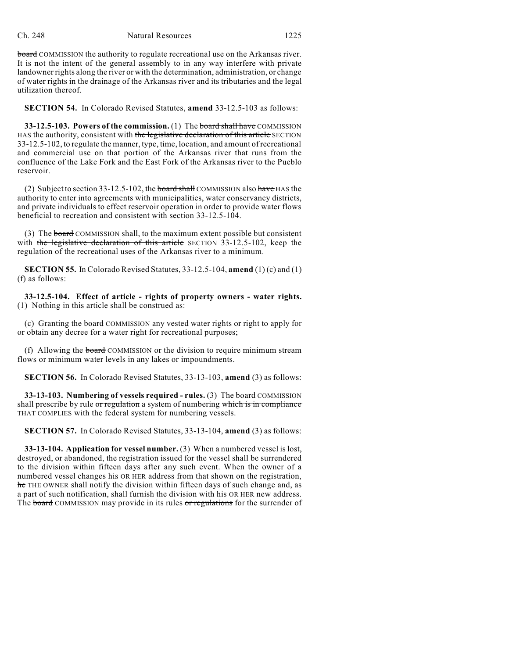# Ch. 248 Natural Resources 1225

board COMMISSION the authority to regulate recreational use on the Arkansas river. It is not the intent of the general assembly to in any way interfere with private landowner rights along the river or with the determination, administration, or change of water rights in the drainage of the Arkansas river and its tributaries and the legal utilization thereof.

**SECTION 54.** In Colorado Revised Statutes, **amend** 33-12.5-103 as follows:

**33-12.5-103. Powers of the commission.** (1) The board shall have COMMISSION HAS the authority, consistent with the legislative declaration of this article SECTION 33-12.5-102, to regulate the manner, type, time, location, and amount of recreational and commercial use on that portion of the Arkansas river that runs from the confluence of the Lake Fork and the East Fork of the Arkansas river to the Pueblo reservoir.

(2) Subject to section 33-12.5-102, the board shall COMMISSION also have HAS the authority to enter into agreements with municipalities, water conservancy districts, and private individuals to effect reservoir operation in order to provide water flows beneficial to recreation and consistent with section 33-12.5-104.

(3) The board COMMISSION shall, to the maximum extent possible but consistent with the legislative declaration of this article SECTION 33-12.5-102, keep the regulation of the recreational uses of the Arkansas river to a minimum.

**SECTION 55.** In Colorado Revised Statutes, 33-12.5-104, **amend** (1) (c) and (1) (f) as follows:

**33-12.5-104. Effect of article - rights of property owners - water rights.** (1) Nothing in this article shall be construed as:

(c) Granting the board COMMISSION any vested water rights or right to apply for or obtain any decree for a water right for recreational purposes;

(f) Allowing the **board** COMMISSION or the division to require minimum stream flows or minimum water levels in any lakes or impoundments.

**SECTION 56.** In Colorado Revised Statutes, 33-13-103, **amend** (3) as follows:

**33-13-103. Numbering of vessels required - rules.** (3) The board COMMISSION shall prescribe by rule or regulation a system of numbering which is in compliance THAT COMPLIES with the federal system for numbering vessels.

**SECTION 57.** In Colorado Revised Statutes, 33-13-104, **amend** (3) as follows:

**33-13-104. Application for vessel number.** (3) When a numbered vessel islost, destroyed, or abandoned, the registration issued for the vessel shall be surrendered to the division within fifteen days after any such event. When the owner of a numbered vessel changes his OR HER address from that shown on the registration, he THE OWNER shall notify the division within fifteen days of such change and, as a part of such notification, shall furnish the division with his OR HER new address. The board COMMISSION may provide in its rules or regulations for the surrender of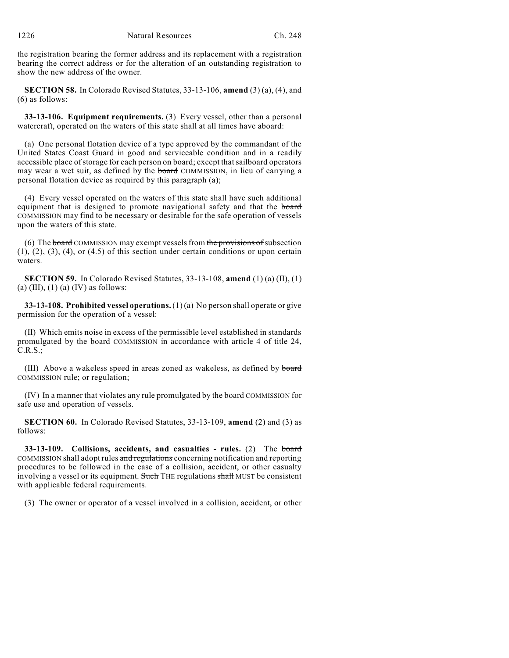the registration bearing the former address and its replacement with a registration bearing the correct address or for the alteration of an outstanding registration to show the new address of the owner.

**SECTION 58.** In Colorado Revised Statutes, 33-13-106, **amend** (3) (a), (4), and (6) as follows:

**33-13-106. Equipment requirements.** (3) Every vessel, other than a personal watercraft, operated on the waters of this state shall at all times have aboard:

(a) One personal flotation device of a type approved by the commandant of the United States Coast Guard in good and serviceable condition and in a readily accessible place of storage for each person on board; except that sailboard operators may wear a wet suit, as defined by the **board** COMMISSION, in lieu of carrying a personal flotation device as required by this paragraph (a);

(4) Every vessel operated on the waters of this state shall have such additional equipment that is designed to promote navigational safety and that the board COMMISSION may find to be necessary or desirable for the safe operation of vessels upon the waters of this state.

(6) The board COMMISSION may exempt vessels from the provisions of subsection  $(1)$ ,  $(2)$ ,  $(3)$ ,  $(4)$ , or  $(4.5)$  of this section under certain conditions or upon certain waters.

**SECTION 59.** In Colorado Revised Statutes, 33-13-108, **amend** (1) (a) (II), (1) (a)  $(III)$ ,  $(1)$   $(a)$   $(IV)$  as follows:

**33-13-108. Prohibited vessel operations.**(1) (a) No person shall operate or give permission for the operation of a vessel:

(II) Which emits noise in excess of the permissible level established in standards promulgated by the **board** COMMISSION in accordance with article 4 of title 24, C.R.S.;

(III) Above a wakeless speed in areas zoned as wakeless, as defined by board COMMISSION rule; or regulation;

(IV) In a manner that violates any rule promulgated by the **board** COMMISSION for safe use and operation of vessels.

**SECTION 60.** In Colorado Revised Statutes, 33-13-109, **amend** (2) and (3) as follows:

**33-13-109. Collisions, accidents, and casualties - rules.** (2) The board COMMISSION shall adopt rules and regulations concerning notification and reporting procedures to be followed in the case of a collision, accident, or other casualty involving a vessel or its equipment. Such THE regulations shall MUST be consistent with applicable federal requirements.

(3) The owner or operator of a vessel involved in a collision, accident, or other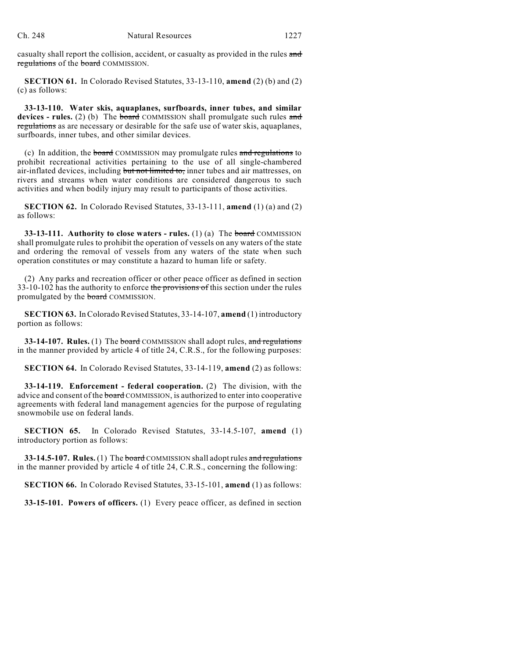casualty shall report the collision, accident, or casualty as provided in the rules and regulations of the board COMMISSION.

**SECTION 61.** In Colorado Revised Statutes, 33-13-110, **amend** (2) (b) and (2) (c) as follows:

**33-13-110. Water skis, aquaplanes, surfboards, inner tubes, and similar devices - rules.** (2) (b) The **board** COMMISSION shall promulgate such rules and regulations as are necessary or desirable for the safe use of water skis, aquaplanes, surfboards, inner tubes, and other similar devices.

(c) In addition, the board COMMISSION may promulgate rules and regulations to prohibit recreational activities pertaining to the use of all single-chambered air-inflated devices, including but not limited to, inner tubes and air mattresses, on rivers and streams when water conditions are considered dangerous to such activities and when bodily injury may result to participants of those activities.

**SECTION 62.** In Colorado Revised Statutes, 33-13-111, **amend** (1) (a) and (2) as follows:

**33-13-111. Authority to close waters - rules.** (1) (a) The board COMMISSION shall promulgate rules to prohibit the operation of vessels on any waters of the state and ordering the removal of vessels from any waters of the state when such operation constitutes or may constitute a hazard to human life or safety.

(2) Any parks and recreation officer or other peace officer as defined in section 33-10-102 has the authority to enforce the provisions of this section under the rules promulgated by the **board** COMMISSION.

**SECTION 63.** In Colorado Revised Statutes, 33-14-107, **amend** (1) introductory portion as follows:

**33-14-107. Rules.** (1) The **board** COMMISSION shall adopt rules, and regulations in the manner provided by article 4 of title 24, C.R.S., for the following purposes:

**SECTION 64.** In Colorado Revised Statutes, 33-14-119, **amend** (2) as follows:

**33-14-119. Enforcement - federal cooperation.** (2) The division, with the advice and consent of the **board** COMMISSION, is authorized to enter into cooperative agreements with federal land management agencies for the purpose of regulating snowmobile use on federal lands.

**SECTION 65.** In Colorado Revised Statutes, 33-14.5-107, **amend** (1) introductory portion as follows:

**33-14.5-107. Rules.** (1) The board COMMISSION shall adopt rules and regulations in the manner provided by article 4 of title 24, C.R.S., concerning the following:

**SECTION 66.** In Colorado Revised Statutes, 33-15-101, **amend** (1) as follows:

**33-15-101. Powers of officers.** (1) Every peace officer, as defined in section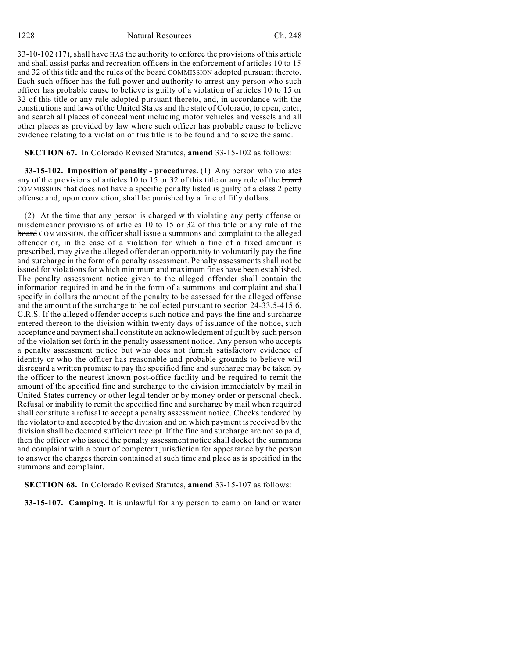1228 Natural Resources Ch. 248

33-10-102 (17), shall have HAS the authority to enforce the provisions of this article and shall assist parks and recreation officers in the enforcement of articles 10 to 15 and 32 of this title and the rules of the board COMMISSION adopted pursuant thereto. Each such officer has the full power and authority to arrest any person who such officer has probable cause to believe is guilty of a violation of articles 10 to 15 or 32 of this title or any rule adopted pursuant thereto, and, in accordance with the constitutions and laws of the United States and the state of Colorado, to open, enter, and search all places of concealment including motor vehicles and vessels and all other places as provided by law where such officer has probable cause to believe evidence relating to a violation of this title is to be found and to seize the same.

**SECTION 67.** In Colorado Revised Statutes, **amend** 33-15-102 as follows:

**33-15-102. Imposition of penalty - procedures.** (1) Any person who violates any of the provisions of articles 10 to 15 or 32 of this title or any rule of the board COMMISSION that does not have a specific penalty listed is guilty of a class 2 petty offense and, upon conviction, shall be punished by a fine of fifty dollars.

(2) At the time that any person is charged with violating any petty offense or misdemeanor provisions of articles 10 to 15 or 32 of this title or any rule of the board COMMISSION, the officer shall issue a summons and complaint to the alleged offender or, in the case of a violation for which a fine of a fixed amount is prescribed, may give the alleged offender an opportunity to voluntarily pay the fine and surcharge in the form of a penalty assessment. Penalty assessments shall not be issued for violations for which minimum and maximum fines have been established. The penalty assessment notice given to the alleged offender shall contain the information required in and be in the form of a summons and complaint and shall specify in dollars the amount of the penalty to be assessed for the alleged offense and the amount of the surcharge to be collected pursuant to section 24-33.5-415.6, C.R.S. If the alleged offender accepts such notice and pays the fine and surcharge entered thereon to the division within twenty days of issuance of the notice, such acceptance and payment shall constitute an acknowledgment of guilt by such person of the violation set forth in the penalty assessment notice. Any person who accepts a penalty assessment notice but who does not furnish satisfactory evidence of identity or who the officer has reasonable and probable grounds to believe will disregard a written promise to pay the specified fine and surcharge may be taken by the officer to the nearest known post-office facility and be required to remit the amount of the specified fine and surcharge to the division immediately by mail in United States currency or other legal tender or by money order or personal check. Refusal or inability to remit the specified fine and surcharge by mail when required shall constitute a refusal to accept a penalty assessment notice. Checks tendered by the violator to and accepted by the division and on which payment is received by the division shall be deemed sufficient receipt. If the fine and surcharge are not so paid, then the officer who issued the penalty assessment notice shall docket the summons and complaint with a court of competent jurisdiction for appearance by the person to answer the charges therein contained at such time and place as is specified in the summons and complaint.

**SECTION 68.** In Colorado Revised Statutes, **amend** 33-15-107 as follows:

**33-15-107. Camping.** It is unlawful for any person to camp on land or water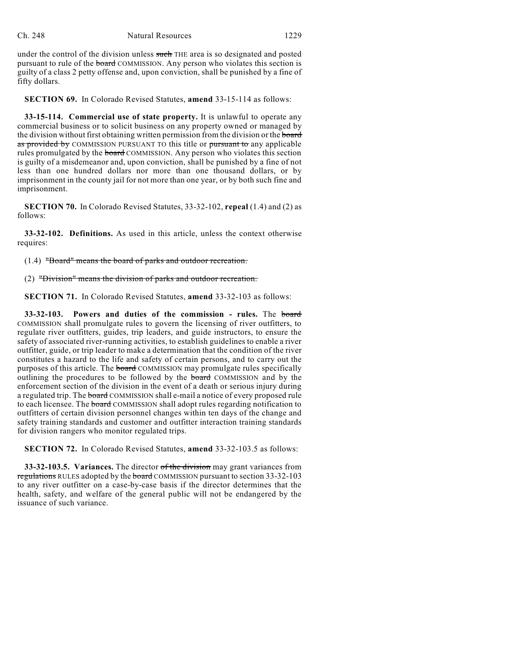under the control of the division unless such THE area is so designated and posted pursuant to rule of the board COMMISSION. Any person who violates this section is guilty of a class 2 petty offense and, upon conviction, shall be punished by a fine of fifty dollars.

**SECTION 69.** In Colorado Revised Statutes, **amend** 33-15-114 as follows:

**33-15-114. Commercial use of state property.** It is unlawful to operate any commercial business or to solicit business on any property owned or managed by the division without first obtaining written permission from the division or the board as provided by COMMISSION PURSUANT TO this title or pursuant to any applicable rules promulgated by the board COMMISSION. Any person who violates this section is guilty of a misdemeanor and, upon conviction, shall be punished by a fine of not less than one hundred dollars nor more than one thousand dollars, or by imprisonment in the county jail for not more than one year, or by both such fine and imprisonment.

**SECTION 70.** In Colorado Revised Statutes, 33-32-102, **repeal** (1.4) and (2) as follows:

**33-32-102. Definitions.** As used in this article, unless the context otherwise requires:

(1.4) "Board" means the board of parks and outdoor recreation.

(2) "Division" means the division of parks and outdoor recreation.

**SECTION 71.** In Colorado Revised Statutes, **amend** 33-32-103 as follows:

**33-32-103. Powers and duties of the commission - rules.** The board COMMISSION shall promulgate rules to govern the licensing of river outfitters, to regulate river outfitters, guides, trip leaders, and guide instructors, to ensure the safety of associated river-running activities, to establish guidelines to enable a river outfitter, guide, or trip leader to make a determination that the condition of the river constitutes a hazard to the life and safety of certain persons, and to carry out the purposes of this article. The board COMMISSION may promulgate rules specifically outlining the procedures to be followed by the board COMMISSION and by the enforcement section of the division in the event of a death or serious injury during a regulated trip. The board COMMISSION shall e-mail a notice of every proposed rule to each licensee. The board COMMISSION shall adopt rules regarding notification to outfitters of certain division personnel changes within ten days of the change and safety training standards and customer and outfitter interaction training standards for division rangers who monitor regulated trips.

**SECTION 72.** In Colorado Revised Statutes, **amend** 33-32-103.5 as follows:

**33-32-103.5. Variances.** The director of the division may grant variances from regulations RULES adopted by the board COMMISSION pursuant to section 33-32-103 to any river outfitter on a case-by-case basis if the director determines that the health, safety, and welfare of the general public will not be endangered by the issuance of such variance.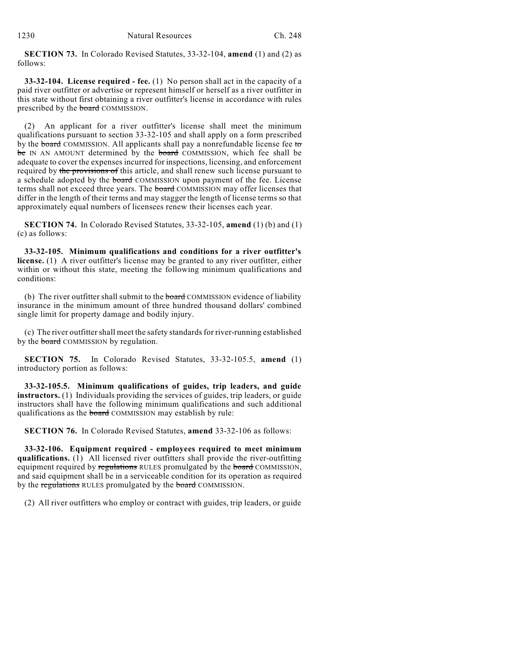**SECTION 73.** In Colorado Revised Statutes, 33-32-104, **amend** (1) and (2) as follows:

**33-32-104. License required - fee.** (1) No person shall act in the capacity of a paid river outfitter or advertise or represent himself or herself as a river outfitter in this state without first obtaining a river outfitter's license in accordance with rules prescribed by the board COMMISSION.

(2) An applicant for a river outfitter's license shall meet the minimum qualifications pursuant to section 33-32-105 and shall apply on a form prescribed by the board COMMISSION. All applicants shall pay a nonrefundable license fee to be IN AN AMOUNT determined by the board COMMISSION, which fee shall be adequate to cover the expenses incurred for inspections, licensing, and enforcement required by the provisions of this article, and shall renew such license pursuant to a schedule adopted by the board COMMISSION upon payment of the fee. License terms shall not exceed three years. The board COMMISSION may offer licenses that differ in the length of their terms and may stagger the length of license terms so that approximately equal numbers of licensees renew their licenses each year.

**SECTION 74.** In Colorado Revised Statutes, 33-32-105, **amend** (1) (b) and (1) (c) as follows:

**33-32-105. Minimum qualifications and conditions for a river outfitter's license.** (1) A river outfitter's license may be granted to any river outfitter, either within or without this state, meeting the following minimum qualifications and conditions:

(b) The river outfitter shall submit to the **board** COMMISSION evidence of liability insurance in the minimum amount of three hundred thousand dollars' combined single limit for property damage and bodily injury.

(c) The river outfitter shall meet the safety standards for river-running established by the **board** COMMISSION by regulation.

**SECTION 75.** In Colorado Revised Statutes, 33-32-105.5, **amend** (1) introductory portion as follows:

**33-32-105.5. Minimum qualifications of guides, trip leaders, and guide instructors.** (1) Individuals providing the services of guides, trip leaders, or guide instructors shall have the following minimum qualifications and such additional qualifications as the board COMMISSION may establish by rule:

**SECTION 76.** In Colorado Revised Statutes, **amend** 33-32-106 as follows:

**33-32-106. Equipment required - employees required to meet minimum qualifications.** (1) All licensed river outfitters shall provide the river-outfitting equipment required by regulations RULES promulgated by the board COMMISSION, and said equipment shall be in a serviceable condition for its operation as required by the regulations RULES promulgated by the board COMMISSION.

(2) All river outfitters who employ or contract with guides, trip leaders, or guide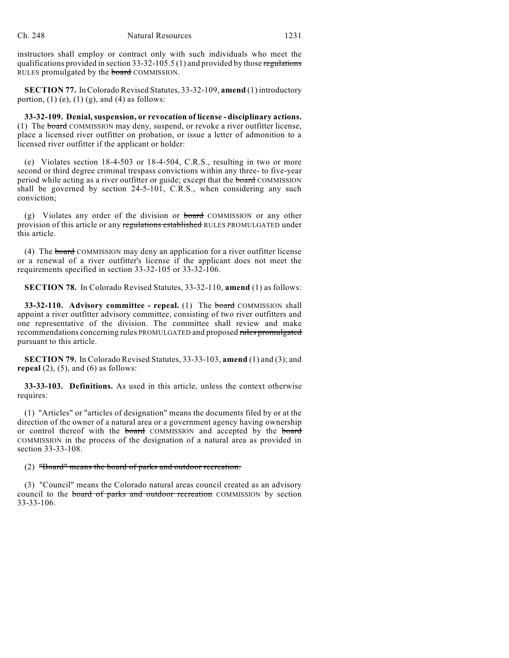instructors shall employ or contract only with such individuals who meet the qualifications provided in section  $33-32-105.5$  (1) and provided by those regulations RULES promulgated by the **board** COMMISSION.

**SECTION 77.** In Colorado Revised Statutes, 33-32-109, **amend** (1) introductory portion,  $(1)$  (e),  $(1)$  (g), and  $(4)$  as follows:

**33-32-109. Denial, suspension, or revocation of license - disciplinary actions.** (1) The board COMMISSION may deny, suspend, or revoke a river outfitter license, place a licensed river outfitter on probation, or issue a letter of admonition to a licensed river outfitter if the applicant or holder:

(e) Violates section 18-4-503 or 18-4-504, C.R.S., resulting in two or more second or third degree criminal trespass convictions within any three- to five-year period while acting as a river outfitter or guide; except that the board COMMISSION shall be governed by section 24-5-101, C.R.S., when considering any such conviction;

(g) Violates any order of the division or **board** COMMISSION or any other provision of this article or any regulations established RULES PROMULGATED under this article.

(4) The board COMMISSION may deny an application for a river outfitter license or a renewal of a river outfitter's license if the applicant does not meet the requirements specified in section 33-32-105 or 33-32-106.

**SECTION 78.** In Colorado Revised Statutes, 33-32-110, **amend** (1) as follows:

**33-32-110. Advisory committee - repeal.** (1) The board COMMISSION shall appoint a river outfitter advisory committee, consisting of two river outfitters and one representative of the division. The committee shall review and make recommendations concerning rules PROMULGATED and proposed rules promulgated pursuant to this article.

**SECTION 79.** In Colorado Revised Statutes, 33-33-103, **amend** (1) and (3); and **repeal**  $(2)$ ,  $(5)$ , and  $(6)$  as follows:

**33-33-103. Definitions.** As used in this article, unless the context otherwise requires:

(1) "Articles" or "articles of designation" means the documents filed by or at the direction of the owner of a natural area or a government agency having ownership or control thereof with the board COMMISSION and accepted by the board COMMISSION in the process of the designation of a natural area as provided in section 33-33-108.

# (2) "Board" means the board of parks and outdoor recreation.

(3) "Council" means the Colorado natural areas council created as an advisory council to the board of parks and outdoor recreation COMMISSION by section 33-33-106.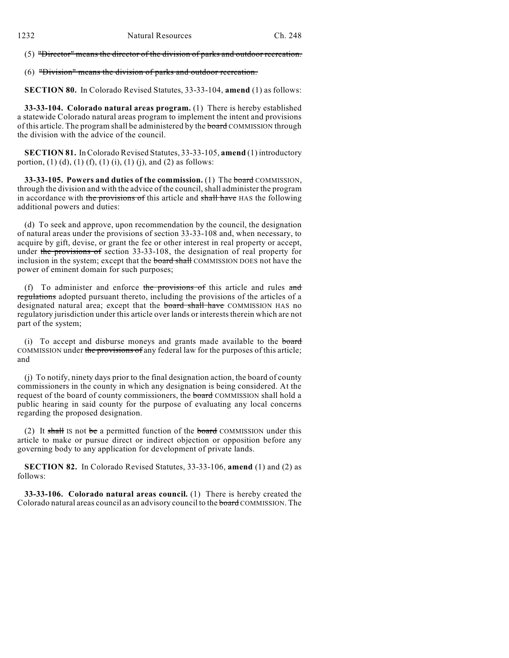(5) "Director" means the director of the division of parks and outdoor recreation.

(6) "Division" means the division of parks and outdoor recreation.

**SECTION 80.** In Colorado Revised Statutes, 33-33-104, **amend** (1) as follows:

**33-33-104. Colorado natural areas program.** (1) There is hereby established a statewide Colorado natural areas program to implement the intent and provisions of this article. The program shall be administered by the **board** COMMISSION through the division with the advice of the council.

**SECTION 81.** In Colorado Revised Statutes, 33-33-105, **amend** (1) introductory portion, (1) (d), (1) (f), (1) (i), (1) (j), and (2) as follows:

**33-33-105. Powers and duties of the commission.** (1) The board COMMISSION, through the division and with the advice of the council,shall administer the program in accordance with the provisions of this article and shall have HAS the following additional powers and duties:

(d) To seek and approve, upon recommendation by the council, the designation of natural areas under the provisions of section 33-33-108 and, when necessary, to acquire by gift, devise, or grant the fee or other interest in real property or accept, under the provisions of section 33-33-108, the designation of real property for inclusion in the system; except that the **board shall** COMMISSION DOES not have the power of eminent domain for such purposes;

(f) To administer and enforce the provisions of this article and rules and regulations adopted pursuant thereto, including the provisions of the articles of a designated natural area; except that the **board shall have** COMMISSION HAS no regulatory jurisdiction under this article over lands or interests therein which are not part of the system;

(i) To accept and disburse moneys and grants made available to the board COMMISSION under the provisions of any federal law for the purposes of this article; and

(j) To notify, ninety days prior to the final designation action, the board of county commissioners in the county in which any designation is being considered. At the request of the board of county commissioners, the board COMMISSION shall hold a public hearing in said county for the purpose of evaluating any local concerns regarding the proposed designation.

(2) It shall IS not be a permitted function of the board COMMISSION under this article to make or pursue direct or indirect objection or opposition before any governing body to any application for development of private lands.

**SECTION 82.** In Colorado Revised Statutes, 33-33-106, **amend** (1) and (2) as follows:

**33-33-106. Colorado natural areas council.** (1) There is hereby created the Colorado natural areas council as an advisory council to the board COMMISSION. The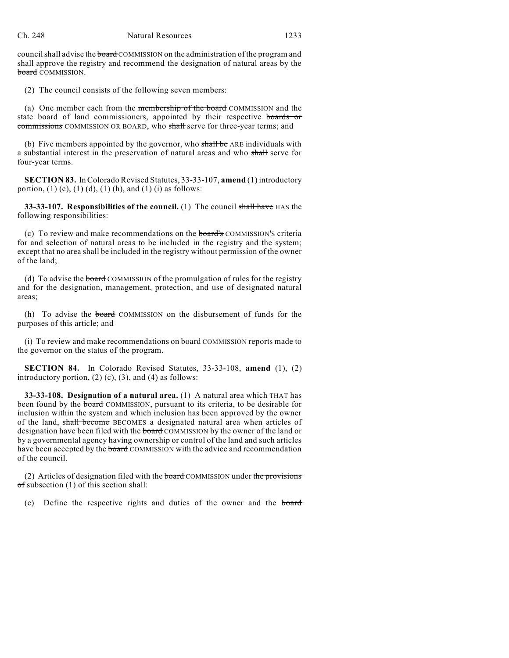council shall advise the board COMMISSION on the administration of the program and shall approve the registry and recommend the designation of natural areas by the board COMMISSION.

(2) The council consists of the following seven members:

(a) One member each from the membership of the board COMMISSION and the state board of land commissioners, appointed by their respective boards or commissions COMMISSION OR BOARD, who shall serve for three-year terms; and

(b) Five members appointed by the governor, who shall be ARE individuals with a substantial interest in the preservation of natural areas and who shall serve for four-year terms.

**SECTION 83.** In Colorado Revised Statutes, 33-33-107, **amend** (1) introductory portion, (1) (c), (1) (d), (1) (h), and (1) (i) as follows:

**33-33-107. Responsibilities of the council.** (1) The council shall have HAS the following responsibilities:

(c) To review and make recommendations on the board's COMMISSION'S criteria for and selection of natural areas to be included in the registry and the system; except that no area shall be included in the registry without permission of the owner of the land;

(d) To advise the board COMMISSION of the promulgation of rules for the registry and for the designation, management, protection, and use of designated natural areas;

(h) To advise the board COMMISSION on the disbursement of funds for the purposes of this article; and

(i) To review and make recommendations on board COMMISSION reports made to the governor on the status of the program.

**SECTION 84.** In Colorado Revised Statutes, 33-33-108, **amend** (1), (2) introductory portion,  $(2)$  (c),  $(3)$ , and  $(4)$  as follows:

**33-33-108. Designation of a natural area.** (1) A natural area which THAT has been found by the **board** COMMISSION, pursuant to its criteria, to be desirable for inclusion within the system and which inclusion has been approved by the owner of the land, shall become BECOMES a designated natural area when articles of designation have been filed with the **board** COMMISSION by the owner of the land or by a governmental agency having ownership or control of the land and such articles have been accepted by the **board** COMMISSION with the advice and recommendation of the council.

(2) Articles of designation filed with the board COMMISSION under the provisions  $\sigma$ f subsection (1) of this section shall:

(c) Define the respective rights and duties of the owner and the board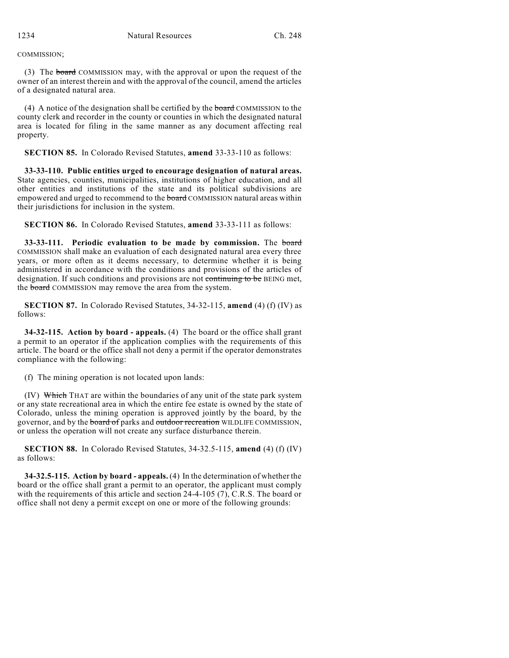COMMISSION;

(3) The board COMMISSION may, with the approval or upon the request of the owner of an interest therein and with the approval of the council, amend the articles of a designated natural area.

(4) A notice of the designation shall be certified by the board COMMISSION to the county clerk and recorder in the county or counties in which the designated natural area is located for filing in the same manner as any document affecting real property.

**SECTION 85.** In Colorado Revised Statutes, **amend** 33-33-110 as follows:

**33-33-110. Public entities urged to encourage designation of natural areas.** State agencies, counties, municipalities, institutions of higher education, and all other entities and institutions of the state and its political subdivisions are empowered and urged to recommend to the board COMMISSION natural areas within their jurisdictions for inclusion in the system.

**SECTION 86.** In Colorado Revised Statutes, **amend** 33-33-111 as follows:

**33-33-111. Periodic evaluation to be made by commission.** The board COMMISSION shall make an evaluation of each designated natural area every three years, or more often as it deems necessary, to determine whether it is being administered in accordance with the conditions and provisions of the articles of designation. If such conditions and provisions are not continuing to be BEING met, the **board** COMMISSION may remove the area from the system.

**SECTION 87.** In Colorado Revised Statutes, 34-32-115, **amend** (4) (f) (IV) as follows:

**34-32-115. Action by board - appeals.** (4) The board or the office shall grant a permit to an operator if the application complies with the requirements of this article. The board or the office shall not deny a permit if the operator demonstrates compliance with the following:

(f) The mining operation is not located upon lands:

(IV) Which THAT are within the boundaries of any unit of the state park system or any state recreational area in which the entire fee estate is owned by the state of Colorado, unless the mining operation is approved jointly by the board, by the governor, and by the board of parks and outdoor recreation WILDLIFE COMMISSION, or unless the operation will not create any surface disturbance therein.

**SECTION 88.** In Colorado Revised Statutes, 34-32.5-115, **amend** (4) (f) (IV) as follows:

**34-32.5-115. Action by board - appeals.** (4) In the determination of whether the board or the office shall grant a permit to an operator, the applicant must comply with the requirements of this article and section 24-4-105 (7), C.R.S. The board or office shall not deny a permit except on one or more of the following grounds: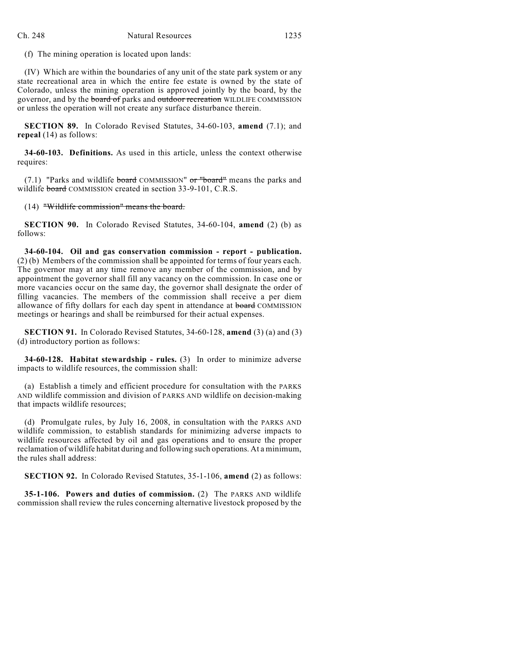(f) The mining operation is located upon lands:

(IV) Which are within the boundaries of any unit of the state park system or any state recreational area in which the entire fee estate is owned by the state of Colorado, unless the mining operation is approved jointly by the board, by the governor, and by the board of parks and outdoor recreation WILDLIFE COMMISSION or unless the operation will not create any surface disturbance therein.

**SECTION 89.** In Colorado Revised Statutes, 34-60-103, **amend** (7.1); and **repeal** (14) as follows:

**34-60-103. Definitions.** As used in this article, unless the context otherwise requires:

 $(7.1)$  "Parks and wildlife board COMMISSION" or "board" means the parks and wildlife board COMMISSION created in section 33-9-101, C.R.S.

(14) "Wildlife commission" means the board.

**SECTION 90.** In Colorado Revised Statutes, 34-60-104, **amend** (2) (b) as follows:

**34-60-104. Oil and gas conservation commission - report - publication.** (2) (b) Members of the commission shall be appointed for terms of four years each. The governor may at any time remove any member of the commission, and by appointment the governor shall fill any vacancy on the commission. In case one or more vacancies occur on the same day, the governor shall designate the order of filling vacancies. The members of the commission shall receive a per diem allowance of fifty dollars for each day spent in attendance at board COMMISSION meetings or hearings and shall be reimbursed for their actual expenses.

**SECTION 91.** In Colorado Revised Statutes, 34-60-128, **amend** (3) (a) and (3) (d) introductory portion as follows:

**34-60-128. Habitat stewardship - rules.** (3) In order to minimize adverse impacts to wildlife resources, the commission shall:

(a) Establish a timely and efficient procedure for consultation with the PARKS AND wildlife commission and division of PARKS AND wildlife on decision-making that impacts wildlife resources;

(d) Promulgate rules, by July 16, 2008, in consultation with the PARKS AND wildlife commission, to establish standards for minimizing adverse impacts to wildlife resources affected by oil and gas operations and to ensure the proper reclamation of wildlife habitat during and following such operations. At a minimum, the rules shall address:

**SECTION 92.** In Colorado Revised Statutes, 35-1-106, **amend** (2) as follows:

**35-1-106. Powers and duties of commission.** (2) The PARKS AND wildlife commission shall review the rules concerning alternative livestock proposed by the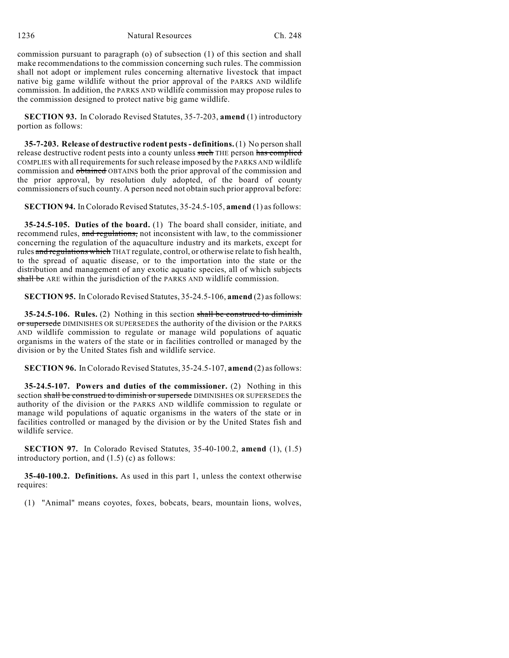1236 Natural Resources Ch. 248

commission pursuant to paragraph (o) of subsection (1) of this section and shall make recommendations to the commission concerning such rules. The commission shall not adopt or implement rules concerning alternative livestock that impact native big game wildlife without the prior approval of the PARKS AND wildlife commission. In addition, the PARKS AND wildlife commission may propose rules to the commission designed to protect native big game wildlife.

**SECTION 93.** In Colorado Revised Statutes, 35-7-203, **amend** (1) introductory portion as follows:

**35-7-203. Release of destructive rodent pests- definitions.**(1) No person shall release destructive rodent pests into a county unless such THE person has complied COMPLIES with all requirementsforsuch release imposed by the PARKS AND wildlife commission and obtained OBTAINS both the prior approval of the commission and the prior approval, by resolution duly adopted, of the board of county commissioners ofsuch county. A person need not obtain such prior approval before:

**SECTION 94.** In Colorado Revised Statutes, 35-24.5-105, **amend** (1) asfollows:

**35-24.5-105. Duties of the board.** (1) The board shall consider, initiate, and recommend rules, and regulations, not inconsistent with law, to the commissioner concerning the regulation of the aquaculture industry and its markets, except for rules and regulations which THAT regulate, control, or otherwise relate to fish health, to the spread of aquatic disease, or to the importation into the state or the distribution and management of any exotic aquatic species, all of which subjects shall be ARE within the jurisdiction of the PARKS AND wildlife commission.

**SECTION 95.** In Colorado Revised Statutes, 35-24.5-106, **amend** (2) as follows:

**35-24.5-106. Rules.** (2) Nothing in this section shall be construed to diminish or supersede DIMINISHES OR SUPERSEDES the authority of the division or the PARKS AND wildlife commission to regulate or manage wild populations of aquatic organisms in the waters of the state or in facilities controlled or managed by the division or by the United States fish and wildlife service.

**SECTION 96.** In Colorado Revised Statutes, 35-24.5-107, **amend** (2) as follows:

**35-24.5-107. Powers and duties of the commissioner.** (2) Nothing in this section shall be construed to diminish or supersede DIMINISHES OR SUPERSEDES the authority of the division or the PARKS AND wildlife commission to regulate or manage wild populations of aquatic organisms in the waters of the state or in facilities controlled or managed by the division or by the United States fish and wildlife service.

**SECTION 97.** In Colorado Revised Statutes, 35-40-100.2, **amend** (1), (1.5) introductory portion, and (1.5) (c) as follows:

**35-40-100.2. Definitions.** As used in this part 1, unless the context otherwise requires:

(1) "Animal" means coyotes, foxes, bobcats, bears, mountain lions, wolves,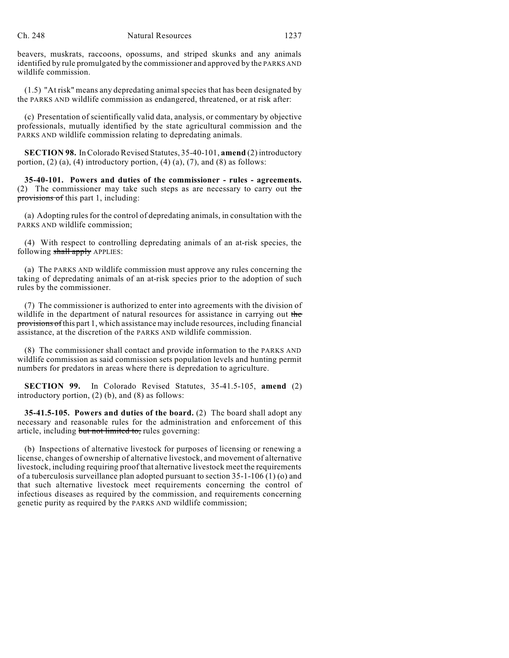beavers, muskrats, raccoons, opossums, and striped skunks and any animals identified by rule promulgated by the commissioner and approved by the PARKS AND wildlife commission.

 $(1.5)$  "At risk" means any depredating animal species that has been designated by the PARKS AND wildlife commission as endangered, threatened, or at risk after:

(c) Presentation of scientifically valid data, analysis, or commentary by objective professionals, mutually identified by the state agricultural commission and the PARKS AND wildlife commission relating to depredating animals.

**SECTION 98.** In Colorado Revised Statutes, 35-40-101, **amend** (2) introductory portion,  $(2)$   $(a)$ ,  $(4)$  introductory portion,  $(4)$   $(a)$ ,  $(7)$ , and  $(8)$  as follows:

**35-40-101. Powers and duties of the commissioner - rules - agreements.** (2) The commissioner may take such steps as are necessary to carry out the provisions of this part 1, including:

(a) Adopting rulesfor the control of depredating animals, in consultation with the PARKS AND wildlife commission;

(4) With respect to controlling depredating animals of an at-risk species, the following shall apply APPLIES:

(a) The PARKS AND wildlife commission must approve any rules concerning the taking of depredating animals of an at-risk species prior to the adoption of such rules by the commissioner.

(7) The commissioner is authorized to enter into agreements with the division of wildlife in the department of natural resources for assistance in carrying out the provisions of this part 1, which assistance may include resources, including financial assistance, at the discretion of the PARKS AND wildlife commission.

(8) The commissioner shall contact and provide information to the PARKS AND wildlife commission as said commission sets population levels and hunting permit numbers for predators in areas where there is depredation to agriculture.

**SECTION 99.** In Colorado Revised Statutes, 35-41.5-105, **amend** (2) introductory portion, (2) (b), and (8) as follows:

**35-41.5-105. Powers and duties of the board.** (2) The board shall adopt any necessary and reasonable rules for the administration and enforcement of this article, including but not limited to, rules governing:

(b) Inspections of alternative livestock for purposes of licensing or renewing a license, changes of ownership of alternative livestock, and movement of alternative livestock, including requiring proof that alternative livestock meet the requirements of a tuberculosis surveillance plan adopted pursuant to section 35-1-106 (1) (o) and that such alternative livestock meet requirements concerning the control of infectious diseases as required by the commission, and requirements concerning genetic purity as required by the PARKS AND wildlife commission;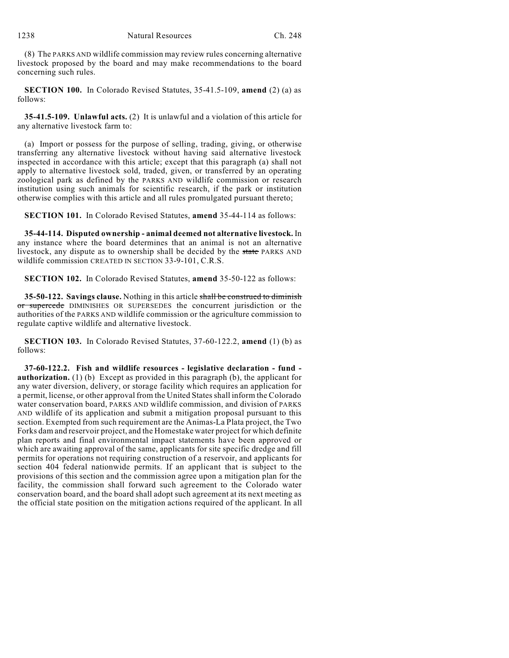(8) The PARKS AND wildlife commission may review rules concerning alternative livestock proposed by the board and may make recommendations to the board concerning such rules.

**SECTION 100.** In Colorado Revised Statutes, 35-41.5-109, **amend** (2) (a) as follows:

**35-41.5-109. Unlawful acts.** (2) It is unlawful and a violation of this article for any alternative livestock farm to:

(a) Import or possess for the purpose of selling, trading, giving, or otherwise transferring any alternative livestock without having said alternative livestock inspected in accordance with this article; except that this paragraph (a) shall not apply to alternative livestock sold, traded, given, or transferred by an operating zoological park as defined by the PARKS AND wildlife commission or research institution using such animals for scientific research, if the park or institution otherwise complies with this article and all rules promulgated pursuant thereto;

**SECTION 101.** In Colorado Revised Statutes, **amend** 35-44-114 as follows:

**35-44-114. Disputed ownership - animal deemed not alternative livestock.** In any instance where the board determines that an animal is not an alternative livestock, any dispute as to ownership shall be decided by the state PARKS AND wildlife commission CREATED IN SECTION 33-9-101, C.R.S.

**SECTION 102.** In Colorado Revised Statutes, **amend** 35-50-122 as follows:

**35-50-122. Savings clause.** Nothing in this article shall be construed to diminish or supercede DIMINISHES OR SUPERSEDES the concurrent jurisdiction or the authorities of the PARKS AND wildlife commission or the agriculture commission to regulate captive wildlife and alternative livestock.

**SECTION 103.** In Colorado Revised Statutes, 37-60-122.2, **amend** (1) (b) as follows:

**37-60-122.2. Fish and wildlife resources - legislative declaration - fund authorization.** (1) (b) Except as provided in this paragraph (b), the applicant for any water diversion, delivery, or storage facility which requires an application for a permit, license, or other approval from the United Statesshall inform the Colorado water conservation board, PARKS AND wildlife commission, and division of PARKS AND wildlife of its application and submit a mitigation proposal pursuant to this section. Exempted from such requirement are the Animas-La Plata project, the Two Forks dam and reservoir project, and the Homestake water project for which definite plan reports and final environmental impact statements have been approved or which are awaiting approval of the same, applicants for site specific dredge and fill permits for operations not requiring construction of a reservoir, and applicants for section 404 federal nationwide permits. If an applicant that is subject to the provisions of this section and the commission agree upon a mitigation plan for the facility, the commission shall forward such agreement to the Colorado water conservation board, and the board shall adopt such agreement at its next meeting as the official state position on the mitigation actions required of the applicant. In all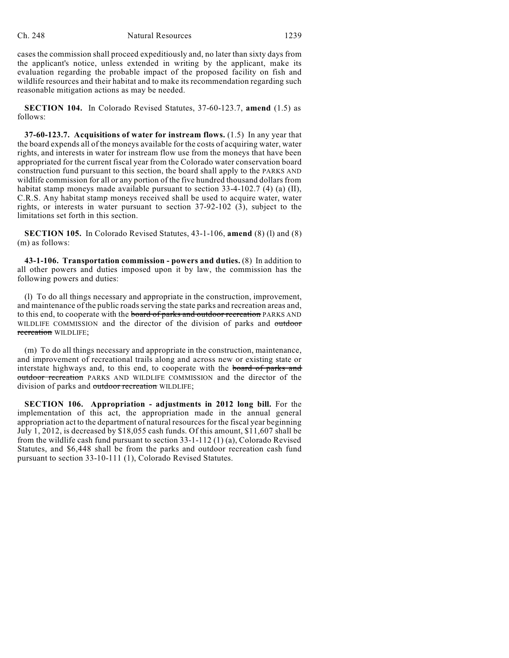cases the commission shall proceed expeditiously and, no later than sixty days from the applicant's notice, unless extended in writing by the applicant, make its evaluation regarding the probable impact of the proposed facility on fish and wildlife resources and their habitat and to make its recommendation regarding such reasonable mitigation actions as may be needed.

**SECTION 104.** In Colorado Revised Statutes, 37-60-123.7, **amend** (1.5) as follows:

**37-60-123.7. Acquisitions of water for instream flows.** (1.5) In any year that the board expends all of the moneys available for the costs of acquiring water, water rights, and interests in water for instream flow use from the moneys that have been appropriated for the current fiscal year from the Colorado water conservation board construction fund pursuant to this section, the board shall apply to the PARKS AND wildlife commission for all or any portion of the five hundred thousand dollars from habitat stamp moneys made available pursuant to section  $33-4-102.7$  (4) (a) (II), C.R.S. Any habitat stamp moneys received shall be used to acquire water, water rights, or interests in water pursuant to section 37-92-102 (3), subject to the limitations set forth in this section.

**SECTION 105.** In Colorado Revised Statutes, 43-1-106, **amend** (8) (l) and (8) (m) as follows:

**43-1-106. Transportation commission - powers and duties.** (8) In addition to all other powers and duties imposed upon it by law, the commission has the following powers and duties:

(l) To do all things necessary and appropriate in the construction, improvement, and maintenance of the public roads serving the state parks and recreation areas and, to this end, to cooperate with the board of parks and outdoor recreation PARKS AND WILDLIFE COMMISSION and the director of the division of parks and outdoor recreation WILDLIFE;

(m) To do all things necessary and appropriate in the construction, maintenance, and improvement of recreational trails along and across new or existing state or interstate highways and, to this end, to cooperate with the board of parks and outdoor recreation PARKS AND WILDLIFE COMMISSION and the director of the division of parks and outdoor recreation WILDLIFE;

**SECTION 106. Appropriation - adjustments in 2012 long bill.** For the implementation of this act, the appropriation made in the annual general appropriation act to the department of natural resources for the fiscal year beginning July 1, 2012, is decreased by \$18,055 cash funds. Of this amount, \$11,607 shall be from the wildlife cash fund pursuant to section 33-1-112 (1) (a), Colorado Revised Statutes, and \$6,448 shall be from the parks and outdoor recreation cash fund pursuant to section 33-10-111 (1), Colorado Revised Statutes.